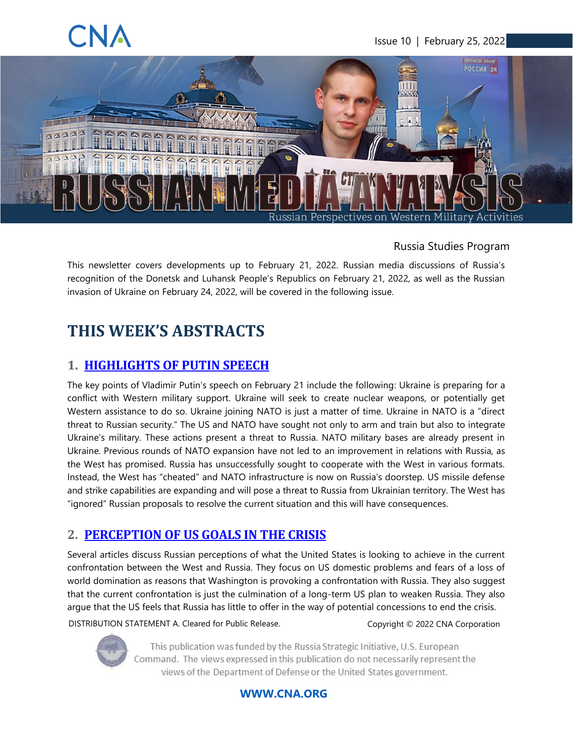# CN/

<span id="page-0-0"></span>Issue 10 | February 25, 2022



### Russia Studies Program

This newsletter covers developments up to February 21, 2022. Russian media discussions of Russia's recognition of the Donetsk and Luhansk People's Republics on February 21, 2022, as well as the Russian invasion of Ukraine on February 24, 2022, will be covered in the following issue.

# **THIS WEEK'S ABSTRACTS**

### **1. [HIGHLIGHTS OF PUTIN SPEECH](#page-4-0)**

The key points of Vladimir Putin's speech on February 21 include the following: Ukraine is preparing for a conflict with Western military support. Ukraine will seek to create nuclear weapons, or potentially get Western assistance to do so. Ukraine joining NATO is just a matter of time. Ukraine in NATO is a "direct threat to Russian security." The US and NATO have sought not only to arm and train but also to integrate Ukraine's military. These actions present a threat to Russia. NATO military bases are already present in Ukraine. Previous rounds of NATO expansion have not led to an improvement in relations with Russia, as the West has promised. Russia has unsuccessfully sought to cooperate with the West in various formats. Instead, the West has "cheated" and NATO infrastructure is now on Russia's doorstep. US missile defense and strike capabilities are expanding and will pose a threat to Russia from Ukrainian territory. The West has "ignored" Russian proposals to resolve the current situation and this will have consequences.

### **2. [PERCEPTION OF US GOALS IN THE CRISIS](#page-5-0)**

Several articles discuss Russian perceptions of what the United States is looking to achieve in the current confrontation between the West and Russia. They focus on US domestic problems and fears of a loss of world domination as reasons that Washington is provoking a confrontation with Russia. They also suggest that the current confrontation is just the culmination of a long-term US plan to weaken Russia. They also argue that the US feels that Russia has little to offer in the way of potential concessions to end the crisis.

DISTRIBUTION STATEMENT A. Cleared for Public Release. Copyright © 2022 CNA Corporation



This publication was funded by the Russia Strategic Initiative, U.S. European Command. The views expressed in this publication do not necessarily represent the views of the Department of Defense or the United States government.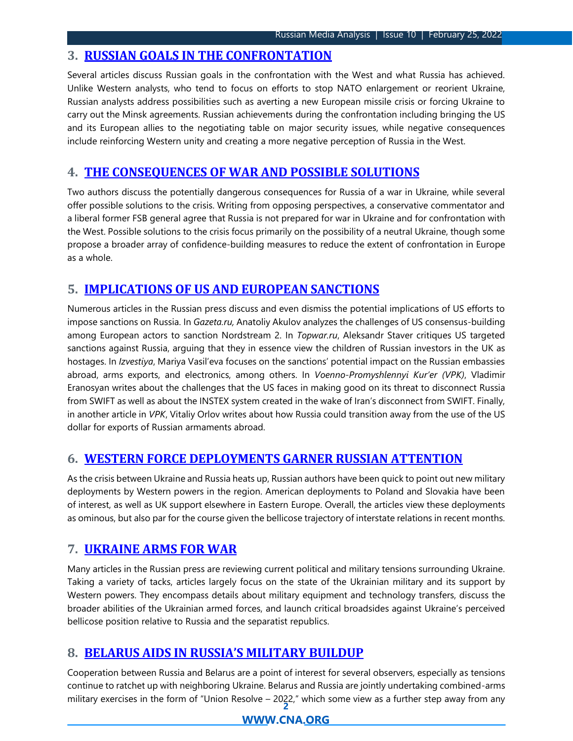#### **3. [RUSSIAN GOALS IN THE CONFRONTATION](#page-6-0)**

Several articles discuss Russian goals in the confrontation with the West and what Russia has achieved. Unlike Western analysts, who tend to focus on efforts to stop NATO enlargement or reorient Ukraine, Russian analysts address possibilities such as averting a new European missile crisis or forcing Ukraine to carry out the Minsk agreements. Russian achievements during the confrontation including bringing the US and its European allies to the negotiating table on major security issues, while negative consequences include reinforcing Western unity and creating a more negative perception of Russia in the West.

### **4. [THE CONSEQUENCES OF WAR AND POSSIBLE SOLUTIONS](#page-8-0)**

Two authors discuss the potentially dangerous consequences for Russia of a war in Ukraine, while several offer possible solutions to the crisis. Writing from opposing perspectives, a conservative commentator and a liberal former FSB general agree that Russia is not prepared for war in Ukraine and for confrontation with the West. Possible solutions to the crisis focus primarily on the possibility of a neutral Ukraine, though some propose a broader array of confidence-building measures to reduce the extent of confrontation in Europe as a whole.

### **5. [IMPLICATIONS OF US AND EUROPEAN SANCTIONS](#page-9-0)**

Numerous articles in the Russian press discuss and even dismiss the potential implications of US efforts to impose sanctions on Russia. In *Gazeta.ru,* Anatoliy Akulov analyzes the challenges of US consensus-building among European actors to sanction Nordstream 2. In *Topwar.ru*, Aleksandr Staver critiques US targeted sanctions against Russia, arguing that they in essence view the children of Russian investors in the UK as hostages. In *Izvestiya*, Mariya Vasil'eva focuses on the sanctions' potential impact on the Russian embassies abroad, arms exports, and electronics, among others. In *Voenno-Promyshlennyi Kur'er (VPK)*, Vladimir Eranosyan writes about the challenges that the US faces in making good on its threat to disconnect Russia from SWIFT as well as about the INSTEX system created in the wake of Iran's disconnect from SWIFT. Finally, in another article in *VPK*, Vitaliy Orlov writes about how Russia could transition away from the use of the US dollar for exports of Russian armaments abroad.

### **6. [WESTERN FORCE DEPLOYMENTS GARNER RUSSIAN ATTENTION](#page-14-0)**

As the crisis between Ukraine and Russia heats up, Russian authors have been quick to point out new military deployments by Western powers in the region. American deployments to Poland and Slovakia have been of interest, as well as UK support elsewhere in Eastern Europe. Overall, the articles view these deployments as ominous, but also par for the course given the bellicose trajectory of interstate relations in recent months.

### **7. [UKRAINE ARMS FOR WAR](#page-13-0)**

Many articles in the Russian press are reviewing current political and military tensions surrounding Ukraine. Taking a variety of tacks, articles largely focus on the state of the Ukrainian military and its support by Western powers. They encompass details about military equipment and technology transfers, discuss the broader abilities of the Ukrainian armed forces, and launch critical broadsides against Ukraine's perceived bellicose position relative to Russia and the separatist republics.

### **8. [BELARUS AIDS IN RUSSI](#page-15-0)A'S MILITARY BUILDUP**

**2** military exercises in the form of "Union Resolve – 2022," which some view as a further step away from any Cooperation between Russia and Belarus are a point of interest for several observers, especially as tensions continue to ratchet up with neighboring Ukraine. Belarus and Russia are jointly undertaking combined-arms

#### **[WWW.CNA.ORG](http://www.cna.org/)**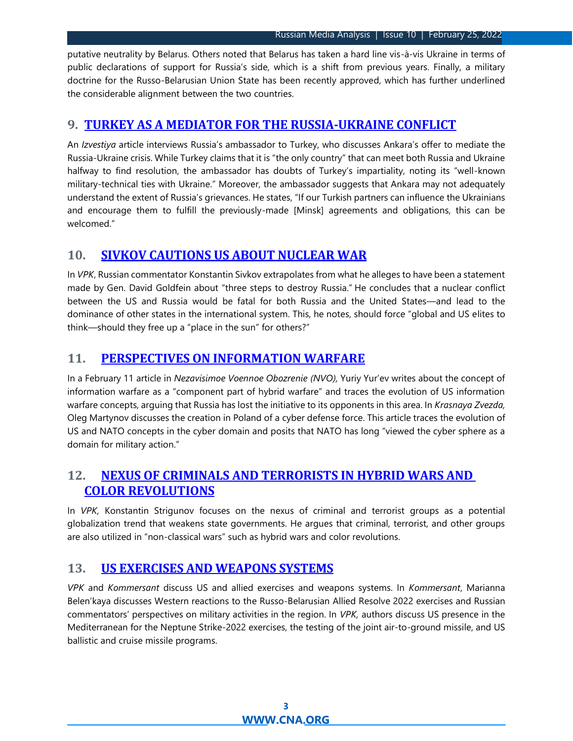putative neutrality by Belarus. Others noted that Belarus has taken a hard line vis-à-vis Ukraine in terms of public declarations of support for Russia's side, which is a shift from previous years. Finally, a military doctrine for the Russo-Belarusian Union State has been recently approved, which has further underlined the considerable alignment between the two countries.

#### **9. TURKEY AS A MEDIATOR FOR [THE RUSSIA-UKRAINE CONFLICT](#page-16-0)**

An *Izvestiya* article interviews Russia's ambassador to Turkey, who discusses Ankara's offer to mediate the Russia-Ukraine crisis. While Turkey claims that it is "the only country" that can meet both Russia and Ukraine halfway to find resolution, the ambassador has doubts of Turkey's impartiality, noting its "well-known military-technical ties with Ukraine." Moreover, the ambassador suggests that Ankara may not adequately understand the extent of Russia's grievances. He states, "If our Turkish partners can influence the Ukrainians and encourage them to fulfill the previously-made [Minsk] agreements and obligations, this can be welcomed."

#### **10. [SIVKOV CAUTIONS US ABOUT NUCLEAR WAR](#page-10-0)**

In *VPK*, Russian commentator Konstantin Sivkov extrapolates from what he alleges to have been a statement made by Gen. David Goldfein about "three steps to destroy Russia." He concludes that a nuclear conflict between the US and Russia would be fatal for both Russia and the United States—and lead to the dominance of other states in the international system. This, he notes, should force "global and US elites to think—should they free up a "place in the sun" for others?"

### **11. [PERSPECTIVES ON INFORMATION WARFARE](#page-12-0)**

In a February 11 article in *Nezavisimoe Voennoe Obozrenie (NVO),* Yuriy Yur'ev writes about the concept of information warfare as a "component part of hybrid warfare" and traces the evolution of US information warfare concepts, arguing that Russia has lost the initiative to its opponents in this area. In *Krasnaya Zvezda,* Oleg Martynov discusses the creation in Poland of a cyber defense force. This article traces the evolution of US and NATO concepts in the cyber domain and posits that NATO has long "viewed the cyber sphere as a domain for military action."

### **12. [NEXUS OF CRIMINALS AND TERRORISTS IN HYBRID WARS AND](#page-12-1)  [COLOR REVOLUTIONS](#page-12-1)**

In *VPK,* Konstantin Strigunov focuses on the nexus of criminal and terrorist groups as a potential globalization trend that weakens state governments. He argues that criminal, terrorist, and other groups are also utilized in "non-classical wars" such as hybrid wars and color revolutions.

#### **13. [US EXERCISES AND WEAPONS SYSTEMS](#page-11-0)**

*VPK* and *Kommersant* discuss US and allied exercises and weapons systems. In *Kommersant*, Marianna Belen'kaya discusses Western reactions to the Russo-Belarusian Allied Resolve 2022 exercises and Russian commentators' perspectives on military activities in the region. In *VPK,* authors discuss US presence in the Mediterranean for the Neptune Strike-2022 exercises, the testing of the joint air-to-ground missile, and US ballistic and cruise missile programs.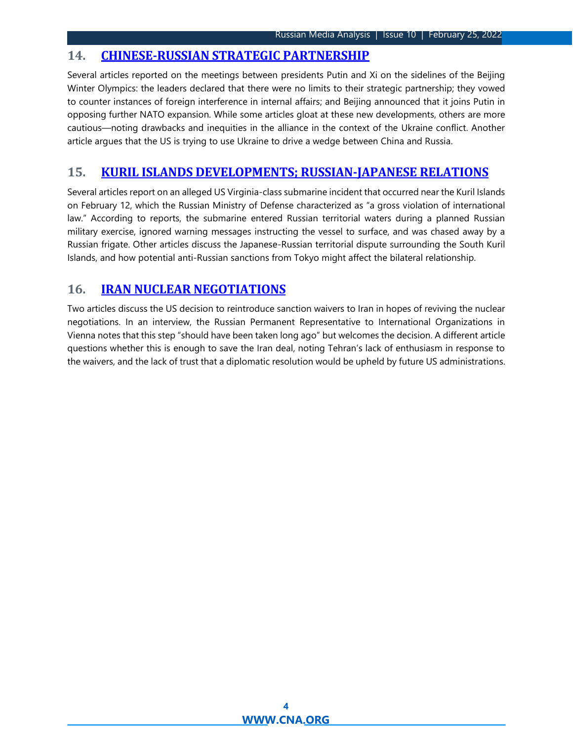### **14. [CHINESE-RUSSIAN STRATEGIC PARTNERSHIP](#page-16-1)**

Several articles reported on the meetings between presidents Putin and Xi on the sidelines of the Beijing Winter Olympics: the leaders declared that there were no limits to their strategic partnership; they vowed to counter instances of foreign interference in internal affairs; and Beijing announced that it joins Putin in opposing further NATO expansion. While some articles gloat at these new developments, others are more cautious—noting drawbacks and inequities in the alliance in the context of the Ukraine conflict. Another article argues that the US is trying to use Ukraine to drive a wedge between China and Russia.

### **15. [KURIL ISLANDS DEVELOPMENTS; RUSSIAN-JAPANESE RELATIONS](#page-17-0)**

Several articles report on an alleged US Virginia-class submarine incident that occurred near the Kuril Islands on February 12, which the Russian Ministry of Defense characterized as "a gross violation of international law." According to reports, the submarine entered Russian territorial waters during a planned Russian military exercise, ignored warning messages instructing the vessel to surface, and was chased away by a Russian frigate. Other articles discuss the Japanese-Russian territorial dispute surrounding the South Kuril Islands, and how potential anti-Russian sanctions from Tokyo might affect the bilateral relationship.

### **16. [IRAN NUCLEAR NEGOTIATIONS](#page-18-0)**

Two articles discuss the US decision to reintroduce sanction waivers to Iran in hopes of reviving the nuclear negotiations. In an interview, the Russian Permanent Representative to International Organizations in Vienna notes that this step "should have been taken long ago" but welcomes the decision. A different article questions whether this is enough to save the Iran deal, noting Tehran's lack of enthusiasm in response to the waivers, and the lack of trust that a diplomatic resolution would be upheld by future US administrations.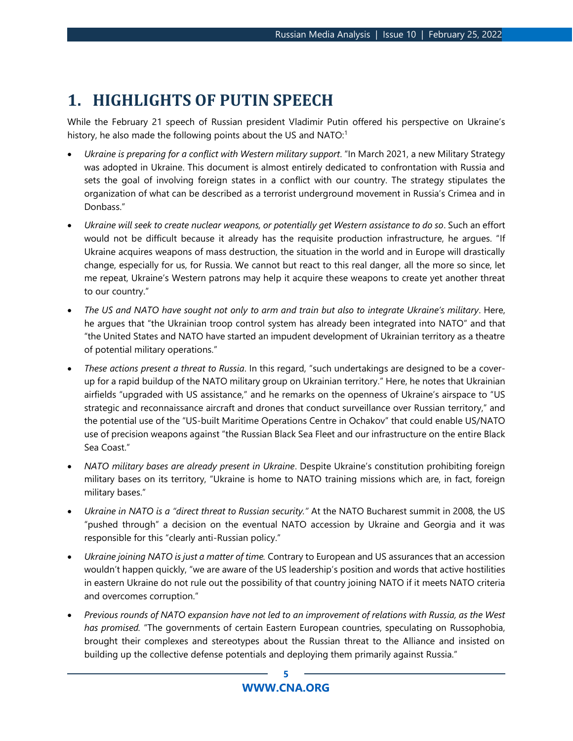# <span id="page-4-0"></span>**1. HIGHLIGHTS OF PUTIN SPEECH**

While the February 21 speech of Russian president Vladimir Putin offered his perspective on Ukraine's history, he also made the following points about the US and  $NATO$ <sup>1</sup>

- *Ukraine is preparing for a conflict with Western military support*. "In March 2021, a new Military Strategy was adopted in Ukraine. This document is almost entirely dedicated to confrontation with Russia and sets the goal of involving foreign states in a conflict with our country. The strategy stipulates the organization of what can be described as a terrorist underground movement in Russia's Crimea and in Donbass."
- *Ukraine will seek to create nuclear weapons, or potentially get Western assistance to do so*. Such an effort would not be difficult because it already has the requisite production infrastructure, he argues. "If Ukraine acquires weapons of mass destruction, the situation in the world and in Europe will drastically change, especially for us, for Russia. We cannot but react to this real danger, all the more so since, let me repeat, Ukraine's Western patrons may help it acquire these weapons to create yet another threat to our country."
- *The US and NATO have sought not only to arm and train but also to integrate Ukraine's military*. Here, he argues that "the Ukrainian troop control system has already been integrated into NATO" and that "the United States and NATO have started an impudent development of Ukrainian territory as a theatre of potential military operations."
- *These actions present a threat to Russia*. In this regard, "such undertakings are designed to be a coverup for a rapid buildup of the NATO military group on Ukrainian territory." Here, he notes that Ukrainian airfields "upgraded with US assistance," and he remarks on the openness of Ukraine's airspace to "US strategic and reconnaissance aircraft and drones that conduct surveillance over Russian territory," and the potential use of the "US-built Maritime Operations Centre in Ochakov" that could enable US/NATO use of precision weapons against "the Russian Black Sea Fleet and our infrastructure on the entire Black Sea Coast."
- *NATO military bases are already present in Ukraine*. Despite Ukraine's constitution prohibiting foreign military bases on its territory, "Ukraine is home to NATO training missions which are, in fact, foreign military bases."
- *Ukraine in NATO is a "direct threat to Russian security."* At the NATO Bucharest summit in 2008, the US "pushed through" a decision on the eventual NATO accession by Ukraine and Georgia and it was responsible for this "clearly anti-Russian policy."
- *Ukraine joining NATO is just a matter of time.* Contrary to European and US assurances that an accession wouldn't happen quickly, "we are aware of the US leadership's position and words that active hostilities in eastern Ukraine do not rule out the possibility of that country joining NATO if it meets NATO criteria and overcomes corruption."
- *Previous rounds of NATO expansion have not led to an improvement of relations with Russia, as the West has promised.* "The governments of certain Eastern European countries, speculating on Russophobia, brought their complexes and stereotypes about the Russian threat to the Alliance and insisted on building up the collective defense potentials and deploying them primarily against Russia."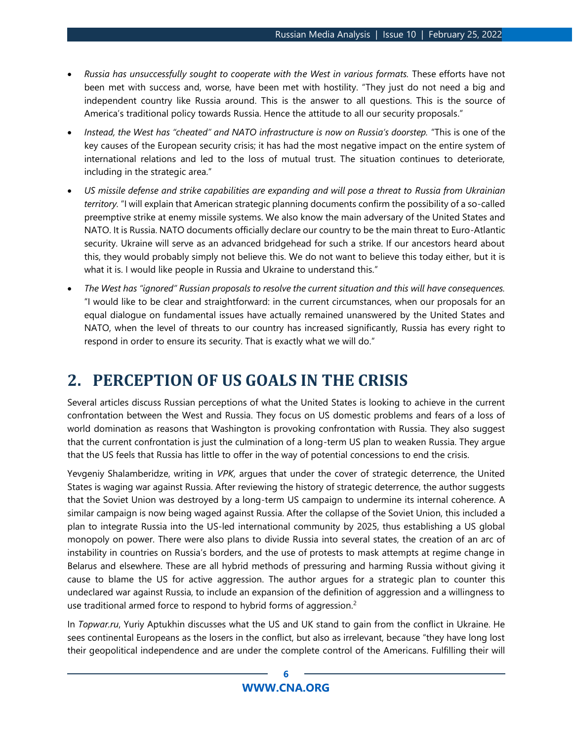- *Russia has unsuccessfully sought to cooperate with the West in various formats.* These efforts have not been met with success and, worse, have been met with hostility. "They just do not need a big and independent country like Russia around. This is the answer to all questions. This is the source of America's traditional policy towards Russia. Hence the attitude to all our security proposals."
- *Instead, the West has "cheated" and NATO infrastructure is now on Russia's doorstep.* "This is one of the key causes of the European security crisis; it has had the most negative impact on the entire system of international relations and led to the loss of mutual trust. The situation continues to deteriorate, including in the strategic area."
- *US missile defense and strike capabilities are expanding and will pose a threat to Russia from Ukrainian territory.* "I will explain that American strategic planning documents confirm the possibility of a so-called preemptive strike at enemy missile systems. We also know the main adversary of the United States and NATO. It is Russia. NATO documents officially declare our country to be the main threat to Euro-Atlantic security. Ukraine will serve as an advanced bridgehead for such a strike. If our ancestors heard about this, they would probably simply not believe this. We do not want to believe this today either, but it is what it is. I would like people in Russia and Ukraine to understand this."
- *The West has "ignored" Russian proposals to resolve the current situation and this will have consequences.*  "I would like to be clear and straightforward: in the current circumstances, when our proposals for an equal dialogue on fundamental issues have actually remained unanswered by the United States and NATO, when the level of threats to our country has increased significantly, Russia has every right to respond in order to ensure its security. That is exactly what we will do."

# <span id="page-5-0"></span>**2. PERCEPTION OF US GOALS IN THE CRISIS**

Several articles discuss Russian perceptions of what the United States is looking to achieve in the current confrontation between the West and Russia. They focus on US domestic problems and fears of a loss of world domination as reasons that Washington is provoking confrontation with Russia. They also suggest that the current confrontation is just the culmination of a long-term US plan to weaken Russia. They argue that the US feels that Russia has little to offer in the way of potential concessions to end the crisis.

Yevgeniy Shalamberidze, writing in *VPK,* argues that under the cover of strategic deterrence, the United States is waging war against Russia. After reviewing the history of strategic deterrence, the author suggests that the Soviet Union was destroyed by a long-term US campaign to undermine its internal coherence. A similar campaign is now being waged against Russia. After the collapse of the Soviet Union, this included a plan to integrate Russia into the US-led international community by 2025, thus establishing a US global monopoly on power. There were also plans to divide Russia into several states, the creation of an arc of instability in countries on Russia's borders, and the use of protests to mask attempts at regime change in Belarus and elsewhere. These are all hybrid methods of pressuring and harming Russia without giving it cause to blame the US for active aggression. The author argues for a strategic plan to counter this undeclared war against Russia, to include an expansion of the definition of aggression and a willingness to use traditional armed force to respond to hybrid forms of aggression.<sup>2</sup>

In *Topwar.ru*, Yuriy Aptukhin discusses what the US and UK stand to gain from the conflict in Ukraine. He sees continental Europeans as the losers in the conflict, but also as irrelevant, because "they have long lost their geopolitical independence and are under the complete control of the Americans. Fulfilling their will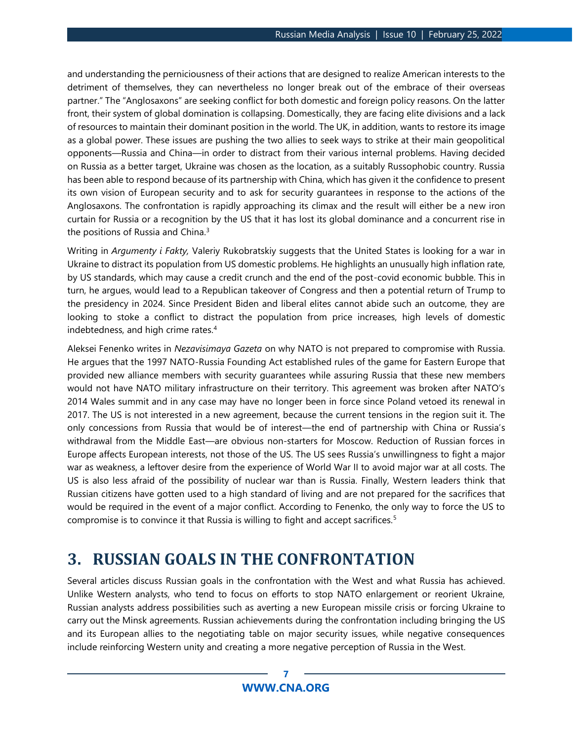and understanding the perniciousness of their actions that are designed to realize American interests to the detriment of themselves, they can nevertheless no longer break out of the embrace of their overseas partner." The "Anglosaxons" are seeking conflict for both domestic and foreign policy reasons. On the latter front, their system of global domination is collapsing. Domestically, they are facing elite divisions and a lack of resources to maintain their dominant position in the world. The UK, in addition, wants to restore its image as a global power. These issues are pushing the two allies to seek ways to strike at their main geopolitical opponents—Russia and China—in order to distract from their various internal problems. Having decided on Russia as a better target, Ukraine was chosen as the location, as a suitably Russophobic country. Russia has been able to respond because of its partnership with China, which has given it the confidence to present its own vision of European security and to ask for security guarantees in response to the actions of the Anglosaxons. The confrontation is rapidly approaching its climax and the result will either be a new iron curtain for Russia or a recognition by the US that it has lost its global dominance and a concurrent rise in the positions of Russia and China.<sup>3</sup>

Writing in *Argumenty i Fakty,* Valeriy Rukobratskiy suggests that the United States is looking for a war in Ukraine to distract its population from US domestic problems. He highlights an unusually high inflation rate, by US standards, which may cause a credit crunch and the end of the post-covid economic bubble. This in turn, he argues, would lead to a Republican takeover of Congress and then a potential return of Trump to the presidency in 2024. Since President Biden and liberal elites cannot abide such an outcome, they are looking to stoke a conflict to distract the population from price increases, high levels of domestic indebtedness, and high crime rates.<sup>4</sup>

Aleksei Fenenko writes in *Nezavisimaya Gazeta* on why NATO is not prepared to compromise with Russia. He argues that the 1997 NATO-Russia Founding Act established rules of the game for Eastern Europe that provided new alliance members with security guarantees while assuring Russia that these new members would not have NATO military infrastructure on their territory. This agreement was broken after NATO's 2014 Wales summit and in any case may have no longer been in force since Poland vetoed its renewal in 2017. The US is not interested in a new agreement, because the current tensions in the region suit it. The only concessions from Russia that would be of interest—the end of partnership with China or Russia's withdrawal from the Middle East—are obvious non-starters for Moscow. Reduction of Russian forces in Europe affects European interests, not those of the US. The US sees Russia's unwillingness to fight a major war as weakness, a leftover desire from the experience of World War II to avoid major war at all costs. The US is also less afraid of the possibility of nuclear war than is Russia. Finally, Western leaders think that Russian citizens have gotten used to a high standard of living and are not prepared for the sacrifices that would be required in the event of a major conflict. According to Fenenko, the only way to force the US to compromise is to convince it that Russia is willing to fight and accept sacrifices.<sup>5</sup>

### <span id="page-6-0"></span>**3. RUSSIAN GOALS IN THE CONFRONTATION**

Several articles discuss Russian goals in the confrontation with the West and what Russia has achieved. Unlike Western analysts, who tend to focus on efforts to stop NATO enlargement or reorient Ukraine, Russian analysts address possibilities such as averting a new European missile crisis or forcing Ukraine to carry out the Minsk agreements. Russian achievements during the confrontation including bringing the US and its European allies to the negotiating table on major security issues, while negative consequences include reinforcing Western unity and creating a more negative perception of Russia in the West.

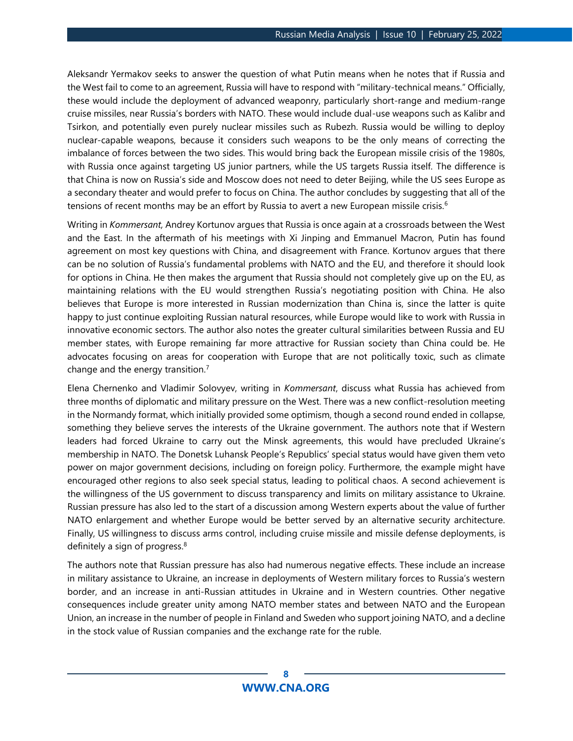Aleksandr Yermakov seeks to answer the question of what Putin means when he notes that if Russia and the West fail to come to an agreement, Russia will have to respond with "military-technical means." Officially, these would include the deployment of advanced weaponry, particularly short-range and medium-range cruise missiles, near Russia's borders with NATO. These would include dual-use weapons such as Kalibr and Tsirkon, and potentially even purely nuclear missiles such as Rubezh. Russia would be willing to deploy nuclear-capable weapons, because it considers such weapons to be the only means of correcting the imbalance of forces between the two sides. This would bring back the European missile crisis of the 1980s, with Russia once against targeting US junior partners, while the US targets Russia itself. The difference is that China is now on Russia's side and Moscow does not need to deter Beijing, while the US sees Europe as a secondary theater and would prefer to focus on China. The author concludes by suggesting that all of the tensions of recent months may be an effort by Russia to avert a new European missile crisis.<sup>6</sup>

Writing in *Kommersant,* Andrey Kortunov argues that Russia is once again at a crossroads between the West and the East. In the aftermath of his meetings with Xi Jinping and Emmanuel Macron, Putin has found agreement on most key questions with China, and disagreement with France. Kortunov argues that there can be no solution of Russia's fundamental problems with NATO and the EU, and therefore it should look for options in China. He then makes the argument that Russia should not completely give up on the EU, as maintaining relations with the EU would strengthen Russia's negotiating position with China. He also believes that Europe is more interested in Russian modernization than China is, since the latter is quite happy to just continue exploiting Russian natural resources, while Europe would like to work with Russia in innovative economic sectors. The author also notes the greater cultural similarities between Russia and EU member states, with Europe remaining far more attractive for Russian society than China could be. He advocates focusing on areas for cooperation with Europe that are not politically toxic, such as climate change and the energy transition.<sup>7</sup>

Elena Chernenko and Vladimir Solovyev, writing in *Kommersant*, discuss what Russia has achieved from three months of diplomatic and military pressure on the West. There was a new conflict-resolution meeting in the Normandy format, which initially provided some optimism, though a second round ended in collapse, something they believe serves the interests of the Ukraine government. The authors note that if Western leaders had forced Ukraine to carry out the Minsk agreements, this would have precluded Ukraine's membership in NATO. The Donetsk Luhansk People's Republics' special status would have given them veto power on major government decisions, including on foreign policy. Furthermore, the example might have encouraged other regions to also seek special status, leading to political chaos. A second achievement is the willingness of the US government to discuss transparency and limits on military assistance to Ukraine. Russian pressure has also led to the start of a discussion among Western experts about the value of further NATO enlargement and whether Europe would be better served by an alternative security architecture. Finally, US willingness to discuss arms control, including cruise missile and missile defense deployments, is definitely a sign of progress.<sup>8</sup>

The authors note that Russian pressure has also had numerous negative effects. These include an increase in military assistance to Ukraine, an increase in deployments of Western military forces to Russia's western border, and an increase in anti-Russian attitudes in Ukraine and in Western countries. Other negative consequences include greater unity among NATO member states and between NATO and the European Union, an increase in the number of people in Finland and Sweden who support joining NATO, and a decline in the stock value of Russian companies and the exchange rate for the ruble.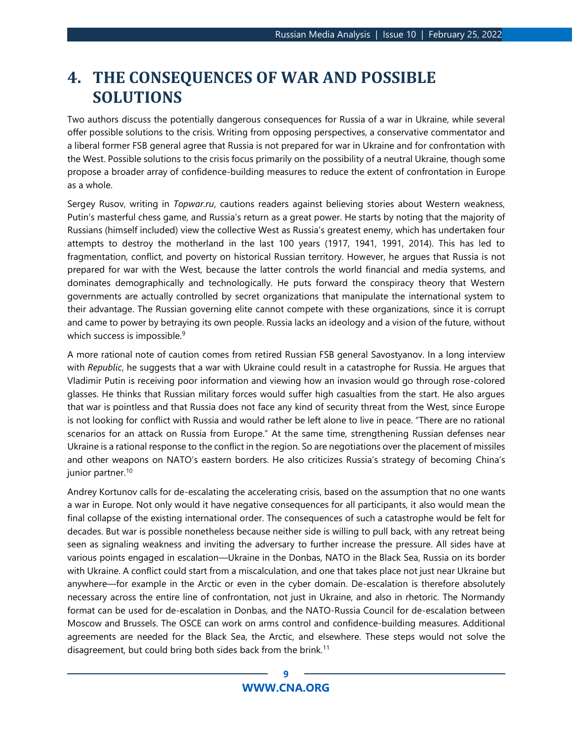# <span id="page-8-0"></span>**4. THE CONSEQUENCES OF WAR AND POSSIBLE SOLUTIONS**

Two authors discuss the potentially dangerous consequences for Russia of a war in Ukraine, while several offer possible solutions to the crisis. Writing from opposing perspectives, a conservative commentator and a liberal former FSB general agree that Russia is not prepared for war in Ukraine and for confrontation with the West. Possible solutions to the crisis focus primarily on the possibility of a neutral Ukraine, though some propose a broader array of confidence-building measures to reduce the extent of confrontation in Europe as a whole.

Sergey Rusov, writing in *Topwar.ru*, cautions readers against believing stories about Western weakness, Putin's masterful chess game, and Russia's return as a great power. He starts by noting that the majority of Russians (himself included) view the collective West as Russia's greatest enemy, which has undertaken four attempts to destroy the motherland in the last 100 years (1917, 1941, 1991, 2014). This has led to fragmentation, conflict, and poverty on historical Russian territory. However, he argues that Russia is not prepared for war with the West, because the latter controls the world financial and media systems, and dominates demographically and technologically. He puts forward the conspiracy theory that Western governments are actually controlled by secret organizations that manipulate the international system to their advantage. The Russian governing elite cannot compete with these organizations, since it is corrupt and came to power by betraying its own people. Russia lacks an ideology and a vision of the future, without which success is impossible.<sup>9</sup>

A more rational note of caution comes from retired Russian FSB general Savostyanov. In a long interview with *Republic*, he suggests that a war with Ukraine could result in a catastrophe for Russia. He argues that Vladimir Putin is receiving poor information and viewing how an invasion would go through rose-colored glasses. He thinks that Russian military forces would suffer high casualties from the start. He also argues that war is pointless and that Russia does not face any kind of security threat from the West, since Europe is not looking for conflict with Russia and would rather be left alone to live in peace. "There are no rational scenarios for an attack on Russia from Europe." At the same time, strengthening Russian defenses near Ukraine is a rational response to the conflict in the region. So are negotiations over the placement of missiles and other weapons on NATO's eastern borders. He also criticizes Russia's strategy of becoming China's junior partner.<sup>10</sup>

Andrey Kortunov calls for de-escalating the accelerating crisis, based on the assumption that no one wants a war in Europe. Not only would it have negative consequences for all participants, it also would mean the final collapse of the existing international order. The consequences of such a catastrophe would be felt for decades. But war is possible nonetheless because neither side is willing to pull back, with any retreat being seen as signaling weakness and inviting the adversary to further increase the pressure. All sides have at various points engaged in escalation—Ukraine in the Donbas, NATO in the Black Sea, Russia on its border with Ukraine. A conflict could start from a miscalculation, and one that takes place not just near Ukraine but anywhere—for example in the Arctic or even in the cyber domain. De-escalation is therefore absolutely necessary across the entire line of confrontation, not just in Ukraine, and also in rhetoric. The Normandy format can be used for de-escalation in Donbas, and the NATO-Russia Council for de-escalation between Moscow and Brussels. The OSCE can work on arms control and confidence-building measures. Additional agreements are needed for the Black Sea, the Arctic, and elsewhere. These steps would not solve the disagreement, but could bring both sides back from the brink.<sup>11</sup>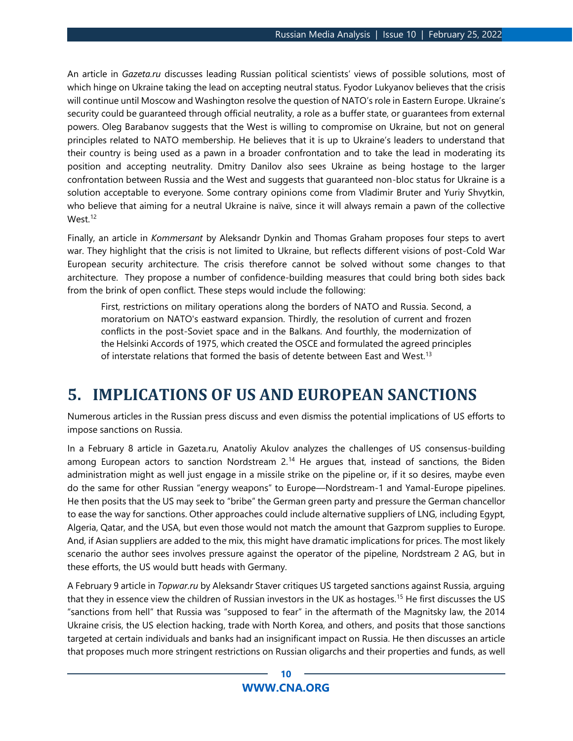An article in *Gazeta.ru* discusses leading Russian political scientists' views of possible solutions, most of which hinge on Ukraine taking the lead on accepting neutral status. Fyodor Lukyanov believes that the crisis will continue until Moscow and Washington resolve the question of NATO's role in Eastern Europe. Ukraine's security could be guaranteed through official neutrality, a role as a buffer state, or guarantees from external powers. Oleg Barabanov suggests that the West is willing to compromise on Ukraine, but not on general principles related to NATO membership. He believes that it is up to Ukraine's leaders to understand that their country is being used as a pawn in a broader confrontation and to take the lead in moderating its position and accepting neutrality. Dmitry Danilov also sees Ukraine as being hostage to the larger confrontation between Russia and the West and suggests that guaranteed non-bloc status for Ukraine is a solution acceptable to everyone. Some contrary opinions come from Vladimir Bruter and Yuriy Shvytkin, who believe that aiming for a neutral Ukraine is naïve, since it will always remain a pawn of the collective West.<sup>12</sup>

Finally, an article in *Kommersant* by Aleksandr Dynkin and Thomas Graham proposes four steps to avert war. They highlight that the crisis is not limited to Ukraine, but reflects different visions of post-Cold War European security architecture. The crisis therefore cannot be solved without some changes to that architecture. They propose a number of confidence-building measures that could bring both sides back from the brink of open conflict. These steps would include the following:

First, restrictions on military operations along the borders of NATO and Russia. Second, a moratorium on NATO's eastward expansion. Thirdly, the resolution of current and frozen conflicts in the post-Soviet space and in the Balkans. And fourthly, the modernization of the Helsinki Accords of 1975, which created the OSCE and formulated the agreed principles of interstate relations that formed the basis of detente between East and West.<sup>13</sup>

### <span id="page-9-0"></span>**5. IMPLICATIONS OF US AND EUROPEAN SANCTIONS**

Numerous articles in the Russian press discuss and even dismiss the potential implications of US efforts to impose sanctions on Russia.

In a February 8 article in Gazeta.ru, Anatoliy Akulov analyzes the challenges of US consensus-building among European actors to sanction Nordstream 2.<sup>14</sup> He argues that, instead of sanctions, the Biden administration might as well just engage in a missile strike on the pipeline or, if it so desires, maybe even do the same for other Russian "energy weapons" to Europe—Nordstream-1 and Yamal-Europe pipelines. He then posits that the US may seek to "bribe" the German green party and pressure the German chancellor to ease the way for sanctions. Other approaches could include alternative suppliers of LNG, including Egypt, Algeria, Qatar, and the USA, but even those would not match the amount that Gazprom supplies to Europe. And, if Asian suppliers are added to the mix, this might have dramatic implications for prices. The most likely scenario the author sees involves pressure against the operator of the pipeline, Nordstream 2 AG, but in these efforts, the US would butt heads with Germany.

A February 9 article in *Topwar.ru* by Aleksandr Staver critiques US targeted sanctions against Russia, arguing that they in essence view the children of Russian investors in the UK as hostages.<sup>15</sup> He first discusses the US "sanctions from hell" that Russia was "supposed to fear" in the aftermath of the Magnitsky law, the 2014 Ukraine crisis, the US election hacking, trade with North Korea, and others, and posits that those sanctions targeted at certain individuals and banks had an insignificant impact on Russia. He then discusses an article that proposes much more stringent restrictions on Russian oligarchs and their properties and funds, as well

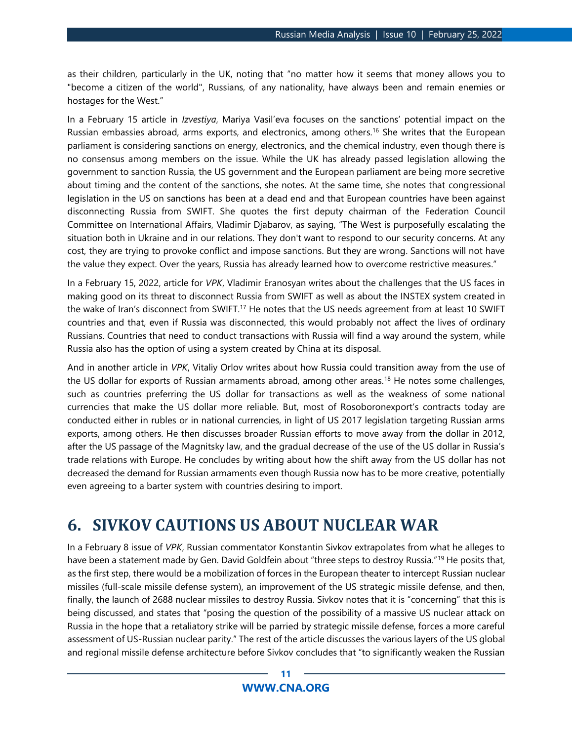as their children, particularly in the UK, noting that "no matter how it seems that money allows you to "become a citizen of the world", Russians, of any nationality, have always been and remain enemies or hostages for the West."

In a February 15 article in *Izvestiya*, Mariya Vasil'eva focuses on the sanctions' potential impact on the Russian embassies abroad, arms exports, and electronics, among others.<sup>16</sup> She writes that the European parliament is considering sanctions on energy, electronics, and the chemical industry, even though there is no consensus among members on the issue. While the UK has already passed legislation allowing the government to sanction Russia, the US government and the European parliament are being more secretive about timing and the content of the sanctions, she notes. At the same time, she notes that congressional legislation in the US on sanctions has been at a dead end and that European countries have been against disconnecting Russia from SWIFT. She quotes the first deputy chairman of the Federation Council Committee on International Affairs, Vladimir Djabarov, as saying, "The West is purposefully escalating the situation both in Ukraine and in our relations. They don't want to respond to our security concerns. At any cost, they are trying to provoke conflict and impose sanctions. But they are wrong. Sanctions will not have the value they expect. Over the years, Russia has already learned how to overcome restrictive measures."

In a February 15, 2022, article for *VPK*, Vladimir Eranosyan writes about the challenges that the US faces in making good on its threat to disconnect Russia from SWIFT as well as about the INSTEX system created in the wake of Iran's disconnect from SWIFT.<sup>17</sup> He notes that the US needs agreement from at least 10 SWIFT countries and that, even if Russia was disconnected, this would probably not affect the lives of ordinary Russians. Countries that need to conduct transactions with Russia will find a way around the system, while Russia also has the option of using a system created by China at its disposal.

And in another article in *VPK*, Vitaliy Orlov writes about how Russia could transition away from the use of the US dollar for exports of Russian armaments abroad, among other areas.<sup>18</sup> He notes some challenges, such as countries preferring the US dollar for transactions as well as the weakness of some national currencies that make the US dollar more reliable. But, most of Rosoboronexport's contracts today are conducted either in rubles or in national currencies, in light of US 2017 legislation targeting Russian arms exports, among others. He then discusses broader Russian efforts to move away from the dollar in 2012, after the US passage of the Magnitsky law, and the gradual decrease of the use of the US dollar in Russia's trade relations with Europe. He concludes by writing about how the shift away from the US dollar has not decreased the demand for Russian armaments even though Russia now has to be more creative, potentially even agreeing to a barter system with countries desiring to import.

### <span id="page-10-0"></span>**6. SIVKOV CAUTIONS US ABOUT NUCLEAR WAR**

In a February 8 issue of *VPK*, Russian commentator Konstantin Sivkov extrapolates from what he alleges to have been a statement made by Gen. David Goldfein about "three steps to destroy Russia."<sup>19</sup> He posits that, as the first step, there would be a mobilization of forces in the European theater to intercept Russian nuclear missiles (full-scale missile defense system), an improvement of the US strategic missile defense, and then, finally, the launch of 2688 nuclear missiles to destroy Russia. Sivkov notes that it is "concerning" that this is being discussed, and states that "posing the question of the possibility of a massive US nuclear attack on Russia in the hope that a retaliatory strike will be parried by strategic missile defense, forces a more careful assessment of US-Russian nuclear parity." The rest of the article discusses the various layers of the US global and regional missile defense architecture before Sivkov concludes that "to significantly weaken the Russian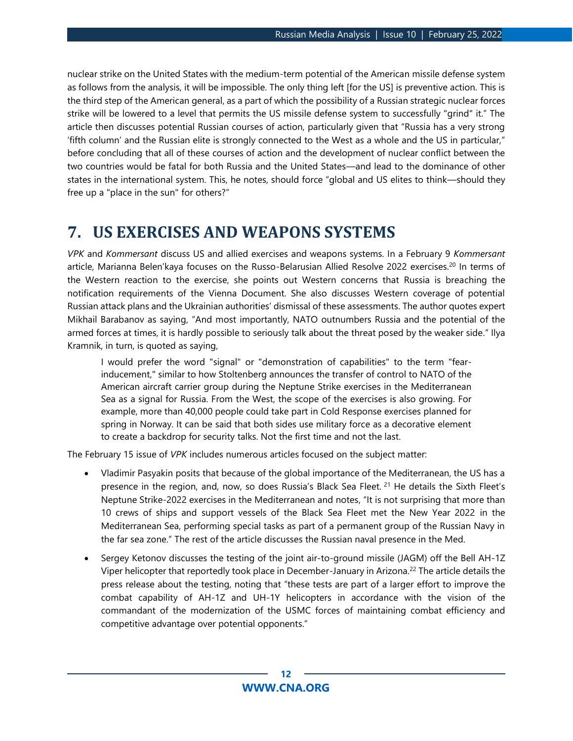nuclear strike on the United States with the medium-term potential of the American missile defense system as follows from the analysis, it will be impossible. The only thing left [for the US] is preventive action. This is the third step of the American general, as a part of which the possibility of a Russian strategic nuclear forces strike will be lowered to a level that permits the US missile defense system to successfully "grind" it." The article then discusses potential Russian courses of action, particularly given that "Russia has a very strong 'fifth column' and the Russian elite is strongly connected to the West as a whole and the US in particular," before concluding that all of these courses of action and the development of nuclear conflict between the two countries would be fatal for both Russia and the United States—and lead to the dominance of other states in the international system. This, he notes, should force "global and US elites to think—should they free up a "place in the sun" for others?"

### <span id="page-11-0"></span>**7. US EXERCISES AND WEAPONS SYSTEMS**

*VPK* and *Kommersant* discuss US and allied exercises and weapons systems. In a February 9 *Kommersant* article, Marianna Belen'kaya focuses on the Russo-Belarusian Allied Resolve 2022 exercises.<sup>20</sup> In terms of the Western reaction to the exercise, she points out Western concerns that Russia is breaching the notification requirements of the Vienna Document. She also discusses Western coverage of potential Russian attack plans and the Ukrainian authorities' dismissal of these assessments. The author quotes expert Mikhail Barabanov as saying, "And most importantly, NATO outnumbers Russia and the potential of the armed forces at times, it is hardly possible to seriously talk about the threat posed by the weaker side." Ilya Kramnik, in turn, is quoted as saying,

I would prefer the word "signal" or "demonstration of capabilities" to the term "fearinducement," similar to how Stoltenberg announces the transfer of control to NATO of the American aircraft carrier group during the Neptune Strike exercises in the Mediterranean Sea as a signal for Russia. From the West, the scope of the exercises is also growing. For example, more than 40,000 people could take part in Cold Response exercises planned for spring in Norway. It can be said that both sides use military force as a decorative element to create a backdrop for security talks. Not the first time and not the last.

The February 15 issue of *VPK* includes numerous articles focused on the subject matter:

- Vladimir Pasyakin posits that because of the global importance of the Mediterranean, the US has a presence in the region, and, now, so does Russia's Black Sea Fleet. <sup>21</sup> He details the Sixth Fleet's Neptune Strike-2022 exercises in the Mediterranean and notes, "It is not surprising that more than 10 crews of ships and support vessels of the Black Sea Fleet met the New Year 2022 in the Mediterranean Sea, performing special tasks as part of a permanent group of the Russian Navy in the far sea zone." The rest of the article discusses the Russian naval presence in the Med.
- Sergey Ketonov discusses the testing of the joint air-to-ground missile (JAGM) off the Bell AH-1Z Viper helicopter that reportedly took place in December-January in Arizona.<sup>22</sup> The article details the press release about the testing, noting that "these tests are part of a larger effort to improve the combat capability of AH-1Z and UH-1Y helicopters in accordance with the vision of the commandant of the modernization of the USMC forces of maintaining combat efficiency and competitive advantage over potential opponents."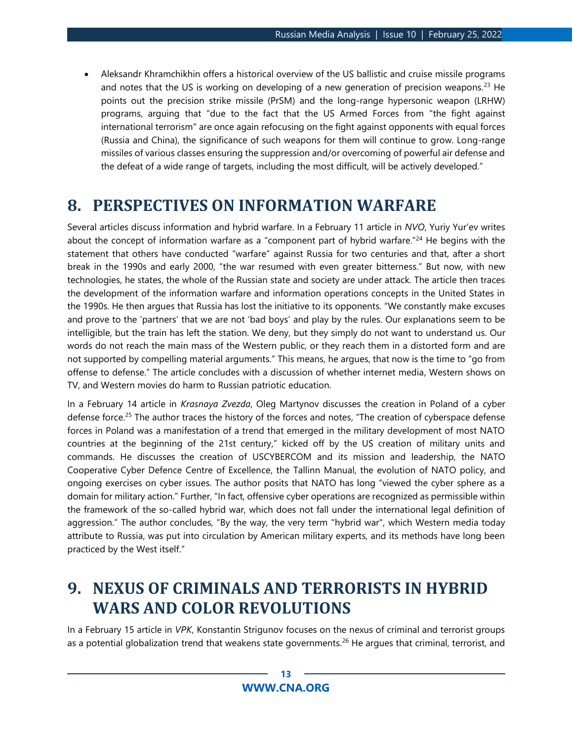• Aleksandr Khramchikhin offers a historical overview of the US ballistic and cruise missile programs and notes that the US is working on developing of a new generation of precision weapons.<sup>23</sup> He points out the precision strike missile (PrSM) and the long-range hypersonic weapon (LRHW) programs, arguing that "due to the fact that the US Armed Forces from "the fight against international terrorism" are once again refocusing on the fight against opponents with equal forces (Russia and China), the significance of such weapons for them will continue to grow. Long-range missiles of various classes ensuring the suppression and/or overcoming of powerful air defense and the defeat of a wide range of targets, including the most difficult, will be actively developed."

### <span id="page-12-0"></span>**8. PERSPECTIVES ON INFORMATION WARFARE**

Several articles discuss information and hybrid warfare. In a February 11 article in *NVO*, Yuriy Yur'ev writes about the concept of information warfare as a "component part of hybrid warfare."<sup>24</sup> He begins with the statement that others have conducted "warfare" against Russia for two centuries and that, after a short break in the 1990s and early 2000, "the war resumed with even greater bitterness." But now, with new technologies, he states, the whole of the Russian state and society are under attack. The article then traces the development of the information warfare and information operations concepts in the United States in the 1990s. He then argues that Russia has lost the initiative to its opponents. "We constantly make excuses and prove to the 'partners' that we are not 'bad boys' and play by the rules. Our explanations seem to be intelligible, but the train has left the station. We deny, but they simply do not want to understand us. Our words do not reach the main mass of the Western public, or they reach them in a distorted form and are not supported by compelling material arguments." This means, he argues, that now is the time to "go from offense to defense." The article concludes with a discussion of whether internet media, Western shows on TV, and Western movies do harm to Russian patriotic education.

In a February 14 article in *Krasnaya Zvezda*, Oleg Martynov discusses the creation in Poland of a cyber defense force.<sup>25</sup> The author traces the history of the forces and notes, "The creation of cyberspace defense forces in Poland was a manifestation of a trend that emerged in the military development of most NATO countries at the beginning of the 21st century," kicked off by the US creation of military units and commands. He discusses the creation of USCYBERCOM and its mission and leadership, the NATO Cooperative Cyber Defence Centre of Excellence, the Tallinn Manual, the evolution of NATO policy, and ongoing exercises on cyber issues. The author posits that NATO has long "viewed the cyber sphere as a domain for military action." Further, "In fact, offensive cyber operations are recognized as permissible within the framework of the so-called hybrid war, which does not fall under the international legal definition of aggression." The author concludes, "By the way, the very term "hybrid war", which Western media today attribute to Russia, was put into circulation by American military experts, and its methods have long been practiced by the West itself."

# <span id="page-12-1"></span>**9. NEXUS OF CRIMINALS AND TERRORISTS IN HYBRID WARS AND COLOR REVOLUTIONS**

In a February 15 article in *VPK*, Konstantin Strigunov focuses on the nexus of criminal and terrorist groups as a potential globalization trend that weakens state governments.<sup>26</sup> He argues that criminal, terrorist, and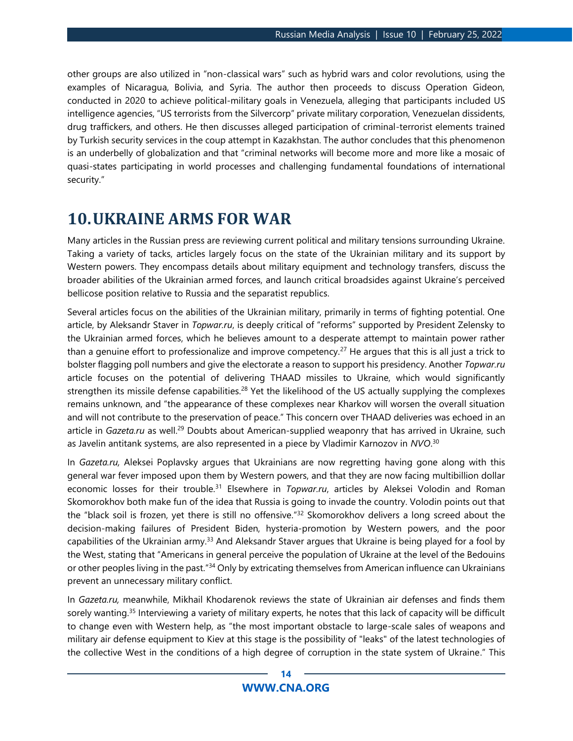other groups are also utilized in "non-classical wars" such as hybrid wars and color revolutions, using the examples of Nicaragua, Bolivia, and Syria. The author then proceeds to discuss Operation Gideon, conducted in 2020 to achieve political-military goals in Venezuela, alleging that participants included US intelligence agencies, "US terrorists from the Silvercorp" private military corporation, Venezuelan dissidents, drug traffickers, and others. He then discusses alleged participation of criminal-terrorist elements trained by Turkish security services in the coup attempt in Kazakhstan. The author concludes that this phenomenon is an underbelly of globalization and that "criminal networks will become more and more like a mosaic of quasi-states participating in world processes and challenging fundamental foundations of international security."

### <span id="page-13-0"></span>**10.UKRAINE ARMS FOR WAR**

Many articles in the Russian press are reviewing current political and military tensions surrounding Ukraine. Taking a variety of tacks, articles largely focus on the state of the Ukrainian military and its support by Western powers. They encompass details about military equipment and technology transfers, discuss the broader abilities of the Ukrainian armed forces, and launch critical broadsides against Ukraine's perceived bellicose position relative to Russia and the separatist republics.

Several articles focus on the abilities of the Ukrainian military, primarily in terms of fighting potential. One article, by Aleksandr Staver in *Topwar.ru*, is deeply critical of "reforms" supported by President Zelensky to the Ukrainian armed forces, which he believes amount to a desperate attempt to maintain power rather than a genuine effort to professionalize and improve competency.<sup>27</sup> He argues that this is all just a trick to bolster flagging poll numbers and give the electorate a reason to support his presidency. Another *Topwar.ru* article focuses on the potential of delivering THAAD missiles to Ukraine, which would significantly strengthen its missile defense capabilities.<sup>28</sup> Yet the likelihood of the US actually supplying the complexes remains unknown, and "the appearance of these complexes near Kharkov will worsen the overall situation and will not contribute to the preservation of peace." This concern over THAAD deliveries was echoed in an article in *Gazeta.ru* as well.<sup>29</sup> Doubts about American-supplied weaponry that has arrived in Ukraine, such as Javelin antitank systems, are also represented in a piece by Vladimir Karnozov in *NVO*. 30

In *Gazeta.ru,* Aleksei Poplavsky argues that Ukrainians are now regretting having gone along with this general war fever imposed upon them by Western powers, and that they are now facing multibillion dollar economic losses for their trouble.<sup>31</sup> Elsewhere in *Topwar.ru*, articles by Aleksei Volodin and Roman Skomorokhov both make fun of the idea that Russia is going to invade the country. Volodin points out that the "black soil is frozen, yet there is still no offensive."<sup>32</sup> Skomorokhov delivers a long screed about the decision-making failures of President Biden, hysteria-promotion by Western powers, and the poor capabilities of the Ukrainian army.<sup>33</sup> And Aleksandr Staver argues that Ukraine is being played for a fool by the West, stating that "Americans in general perceive the population of Ukraine at the level of the Bedouins or other peoples living in the past."<sup>34</sup> Only by extricating themselves from American influence can Ukrainians prevent an unnecessary military conflict.

In *Gazeta.ru,* meanwhile, Mikhail Khodarenok reviews the state of Ukrainian air defenses and finds them sorely wanting.<sup>35</sup> Interviewing a variety of military experts, he notes that this lack of capacity will be difficult to change even with Western help, as "the most important obstacle to large-scale sales of weapons and military air defense equipment to Kiev at this stage is the possibility of "leaks" of the latest technologies of the collective West in the conditions of a high degree of corruption in the state system of Ukraine." This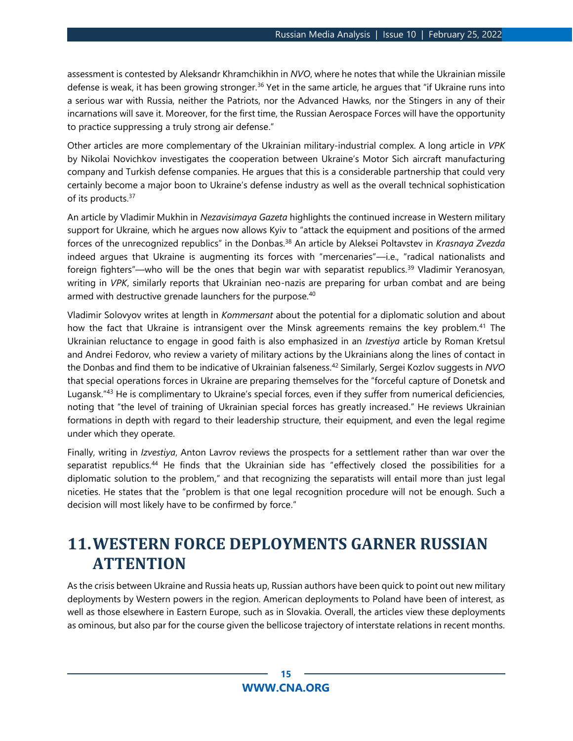assessment is contested by Aleksandr Khramchikhin in *NVO*, where he notes that while the Ukrainian missile defense is weak, it has been growing stronger.<sup>36</sup> Yet in the same article, he argues that "if Ukraine runs into a serious war with Russia, neither the Patriots, nor the Advanced Hawks, nor the Stingers in any of their incarnations will save it. Moreover, for the first time, the Russian Aerospace Forces will have the opportunity to practice suppressing a truly strong air defense."

Other articles are more complementary of the Ukrainian military-industrial complex. A long article in *VPK* by Nikolai Novichkov investigates the cooperation between Ukraine's Motor Sich aircraft manufacturing company and Turkish defense companies. He argues that this is a considerable partnership that could very certainly become a major boon to Ukraine's defense industry as well as the overall technical sophistication of its products.<sup>37</sup>

An article by Vladimir Mukhin in *Nezavisimaya Gazeta* highlights the continued increase in Western military support for Ukraine, which he argues now allows Kyiv to "attack the equipment and positions of the armed forces of the unrecognized republics" in the Donbas.<sup>38</sup> An article by Aleksei Poltavstev in *Krasnaya Zvezda* indeed argues that Ukraine is augmenting its forces with "mercenaries"—i.e., "radical nationalists and foreign fighters"—who will be the ones that begin war with separatist republics.<sup>39</sup> Vladimir Yeranosyan, writing in *VPK*, similarly reports that Ukrainian neo-nazis are preparing for urban combat and are being armed with destructive grenade launchers for the purpose.<sup>40</sup>

Vladimir Solovyov writes at length in *Kommersant* about the potential for a diplomatic solution and about how the fact that Ukraine is intransigent over the Minsk agreements remains the key problem.<sup>41</sup> The Ukrainian reluctance to engage in good faith is also emphasized in an *Izvestiya* article by Roman Kretsul and Andrei Fedorov, who review a variety of military actions by the Ukrainians along the lines of contact in the Donbas and find them to be indicative of Ukrainian falseness.<sup>42</sup> Similarly, Sergei Kozlov suggests in *NVO* that special operations forces in Ukraine are preparing themselves for the "forceful capture of Donetsk and Lugansk."<sup>43</sup> He is complimentary to Ukraine's special forces, even if they suffer from numerical deficiencies, noting that "the level of training of Ukrainian special forces has greatly increased." He reviews Ukrainian formations in depth with regard to their leadership structure, their equipment, and even the legal regime under which they operate.

Finally, writing in *Izvestiya*, Anton Lavrov reviews the prospects for a settlement rather than war over the separatist republics.<sup>44</sup> He finds that the Ukrainian side has "effectively closed the possibilities for a diplomatic solution to the problem," and that recognizing the separatists will entail more than just legal niceties. He states that the "problem is that one legal recognition procedure will not be enough. Such a decision will most likely have to be confirmed by force."

# <span id="page-14-0"></span>**11.WESTERN FORCE DEPLOYMENTS GARNER RUSSIAN ATTENTION**

As the crisis between Ukraine and Russia heats up, Russian authors have been quick to point out new military deployments by Western powers in the region. American deployments to Poland have been of interest, as well as those elsewhere in Eastern Europe, such as in Slovakia. Overall, the articles view these deployments as ominous, but also par for the course given the bellicose trajectory of interstate relations in recent months.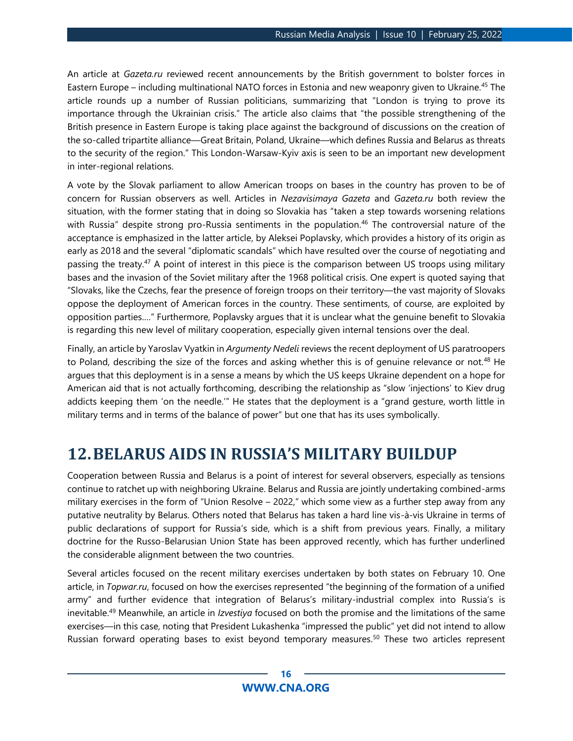An article at *Gazeta.ru* reviewed recent announcements by the British government to bolster forces in Eastern Europe – including multinational NATO forces in Estonia and new weaponry given to Ukraine.<sup>45</sup> The article rounds up a number of Russian politicians, summarizing that "London is trying to prove its importance through the Ukrainian crisis." The article also claims that "the possible strengthening of the British presence in Eastern Europe is taking place against the background of discussions on the creation of the so-called tripartite alliance—Great Britain, Poland, Ukraine—which defines Russia and Belarus as threats to the security of the region." This London-Warsaw-Kyiv axis is seen to be an important new development in inter-regional relations.

A vote by the Slovak parliament to allow American troops on bases in the country has proven to be of concern for Russian observers as well. Articles in *Nezavisimaya Gazeta* and *Gazeta.ru* both review the situation, with the former stating that in doing so Slovakia has "taken a step towards worsening relations with Russia" despite strong pro-Russia sentiments in the population.<sup>46</sup> The controversial nature of the acceptance is emphasized in the latter article, by Aleksei Poplavsky, which provides a history of its origin as early as 2018 and the several "diplomatic scandals" which have resulted over the course of negotiating and passing the treaty.<sup>47</sup> A point of interest in this piece is the comparison between US troops using military bases and the invasion of the Soviet military after the 1968 political crisis. One expert is quoted saying that "Slovaks, like the Czechs, fear the presence of foreign troops on their territory—the vast majority of Slovaks oppose the deployment of American forces in the country. These sentiments, of course, are exploited by opposition parties.…" Furthermore, Poplavsky argues that it is unclear what the genuine benefit to Slovakia is regarding this new level of military cooperation, especially given internal tensions over the deal.

Finally, an article by Yaroslav Vyatkin in *Argumenty Nedeli* reviews the recent deployment of US paratroopers to Poland, describing the size of the forces and asking whether this is of genuine relevance or not.<sup>48</sup> He argues that this deployment is in a sense a means by which the US keeps Ukraine dependent on a hope for American aid that is not actually forthcoming, describing the relationship as "slow 'injections' to Kiev drug addicts keeping them 'on the needle.'" He states that the deployment is a "grand gesture, worth little in military terms and in terms of the balance of power" but one that has its uses symbolically.

# <span id="page-15-0"></span>**12.BELARUS AIDS IN RUSSIA'S MILITARY BUILDUP**

Cooperation between Russia and Belarus is a point of interest for several observers, especially as tensions continue to ratchet up with neighboring Ukraine. Belarus and Russia are jointly undertaking combined-arms military exercises in the form of "Union Resolve – 2022," which some view as a further step away from any putative neutrality by Belarus. Others noted that Belarus has taken a hard line vis-à-vis Ukraine in terms of public declarations of support for Russia's side, which is a shift from previous years. Finally, a military doctrine for the Russo-Belarusian Union State has been approved recently, which has further underlined the considerable alignment between the two countries.

Several articles focused on the recent military exercises undertaken by both states on February 10. One article, in *Topwar.ru*, focused on how the exercises represented "the beginning of the formation of a unified army" and further evidence that integration of Belarus's military-industrial complex into Russia's is inevitable. <sup>49</sup> Meanwhile, an article in *Izvestiya* focused on both the promise and the limitations of the same exercises—in this case, noting that President Lukashenka "impressed the public" yet did not intend to allow Russian forward operating bases to exist beyond temporary measures.<sup>50</sup> These two articles represent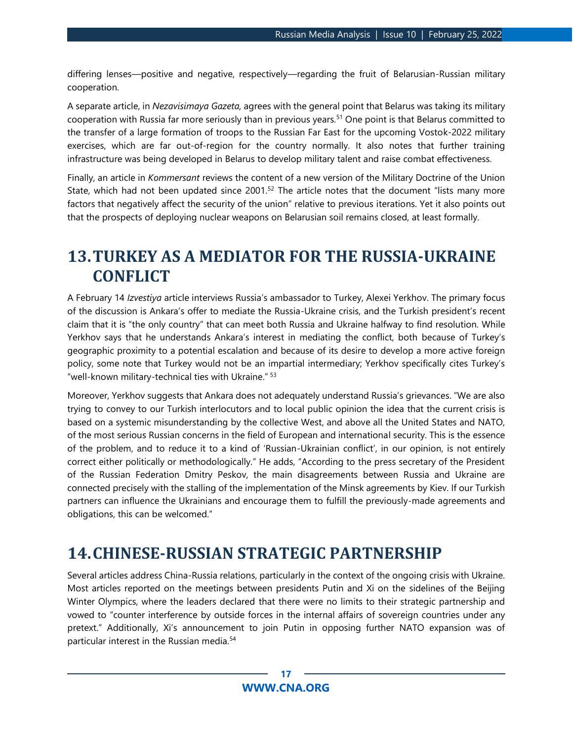differing lenses—positive and negative, respectively—regarding the fruit of Belarusian-Russian military cooperation.

A separate article, in *Nezavisimaya Gazeta,* agrees with the general point that Belarus was taking its military cooperation with Russia far more seriously than in previous years.<sup>51</sup> One point is that Belarus committed to the transfer of a large formation of troops to the Russian Far East for the upcoming Vostok-2022 military exercises, which are far out-of-region for the country normally. It also notes that further training infrastructure was being developed in Belarus to develop military talent and raise combat effectiveness.

Finally, an article in *Kommersant* reviews the content of a new version of the Military Doctrine of the Union State, which had not been updated since  $2001<sup>52</sup>$  The article notes that the document "lists many more factors that negatively affect the security of the union" relative to previous iterations. Yet it also points out that the prospects of deploying nuclear weapons on Belarusian soil remains closed, at least formally.

# <span id="page-16-0"></span>**13.TURKEY AS A MEDIATOR FOR THE RUSSIA-UKRAINE CONFLICT**

A February 14 *Izvestiya* article interviews Russia's ambassador to Turkey, Alexei Yerkhov. The primary focus of the discussion is Ankara's offer to mediate the Russia-Ukraine crisis, and the Turkish president's recent claim that it is "the only country" that can meet both Russia and Ukraine halfway to find resolution. While Yerkhov says that he understands Ankara's interest in mediating the conflict, both because of Turkey's geographic proximity to a potential escalation and because of its desire to develop a more active foreign policy, some note that Turkey would not be an impartial intermediary; Yerkhov specifically cites Turkey's "well-known military-technical ties with Ukraine." <sup>53</sup>

Moreover, Yerkhov suggests that Ankara does not adequately understand Russia's grievances. "We are also trying to convey to our Turkish interlocutors and to local public opinion the idea that the current crisis is based on a systemic misunderstanding by the collective West, and above all the United States and NATO, of the most serious Russian concerns in the field of European and international security. This is the essence of the problem, and to reduce it to a kind of 'Russian-Ukrainian conflict', in our opinion, is not entirely correct either politically or methodologically." He adds, "According to the press secretary of the President of the Russian Federation Dmitry Peskov, the main disagreements between Russia and Ukraine are connected precisely with the stalling of the implementation of the Minsk agreements by Kiev. If our Turkish partners can influence the Ukrainians and encourage them to fulfill the previously-made agreements and obligations, this can be welcomed."

### <span id="page-16-1"></span>**14.CHINESE-RUSSIAN STRATEGIC PARTNERSHIP**

Several articles address China-Russia relations, particularly in the context of the ongoing crisis with Ukraine. Most articles reported on the meetings between presidents Putin and Xi on the sidelines of the Beijing Winter Olympics, where the leaders declared that there were no limits to their strategic partnership and vowed to "counter interference by outside forces in the internal affairs of sovereign countries under any pretext." Additionally, Xi's announcement to join Putin in opposing further NATO expansion was of particular interest in the Russian media.54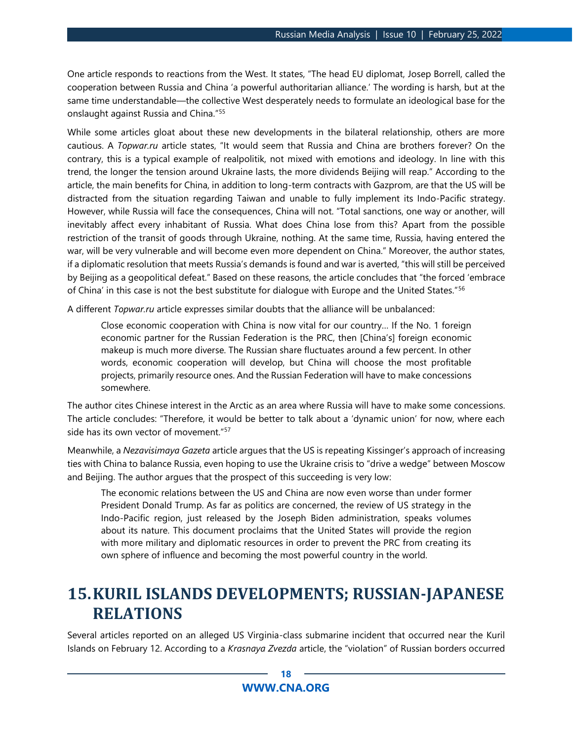One article responds to reactions from the West. It states, "The head EU diplomat, Josep Borrell, called the cooperation between Russia and China 'a powerful authoritarian alliance.' The wording is harsh, but at the same time understandable—the collective West desperately needs to formulate an ideological base for the onslaught against Russia and China."<sup>55</sup>

While some articles gloat about these new developments in the bilateral relationship, others are more cautious. A *Topwar.ru* article states, "It would seem that Russia and China are brothers forever? On the contrary, this is a typical example of realpolitik, not mixed with emotions and ideology. In line with this trend, the longer the tension around Ukraine lasts, the more dividends Beijing will reap." According to the article, the main benefits for China, in addition to long-term contracts with Gazprom, are that the US will be distracted from the situation regarding Taiwan and unable to fully implement its Indo-Pacific strategy. However, while Russia will face the consequences, China will not. "Total sanctions, one way or another, will inevitably affect every inhabitant of Russia. What does China lose from this? Apart from the possible restriction of the transit of goods through Ukraine, nothing. At the same time, Russia, having entered the war, will be very vulnerable and will become even more dependent on China." Moreover, the author states, if a diplomatic resolution that meets Russia's demands is found and war is averted, "this will still be perceived by Beijing as a geopolitical defeat." Based on these reasons, the article concludes that "the forced 'embrace of China' in this case is not the best substitute for dialogue with Europe and the United States."<sup>56</sup>

A different *Topwar.ru* article expresses similar doubts that the alliance will be unbalanced:

Close economic cooperation with China is now vital for our country… If the No. 1 foreign economic partner for the Russian Federation is the PRC, then [China's] foreign economic makeup is much more diverse. The Russian share fluctuates around a few percent. In other words, economic cooperation will develop, but China will choose the most profitable projects, primarily resource ones. And the Russian Federation will have to make concessions somewhere.

The author cites Chinese interest in the Arctic as an area where Russia will have to make some concessions. The article concludes: "Therefore, it would be better to talk about a 'dynamic union' for now, where each side has its own vector of movement."<sup>57</sup>

Meanwhile, a *Nezavisimaya Gazeta* article argues that the US is repeating Kissinger's approach of increasing ties with China to balance Russia, even hoping to use the Ukraine crisis to "drive a wedge" between Moscow and Beijing. The author argues that the prospect of this succeeding is very low:

The economic relations between the US and China are now even worse than under former President Donald Trump. As far as politics are concerned, the review of US strategy in the Indo-Pacific region, just released by the Joseph Biden administration, speaks volumes about its nature. This document proclaims that the United States will provide the region with more military and diplomatic resources in order to prevent the PRC from creating its own sphere of influence and becoming the most powerful country in the world.

# <span id="page-17-0"></span>**15.KURIL ISLANDS DEVELOPMENTS; RUSSIAN-JAPANESE RELATIONS**

Several articles reported on an alleged US Virginia-class submarine incident that occurred near the Kuril Islands on February 12. According to a *Krasnaya Zvezda* article, the "violation" of Russian borders occurred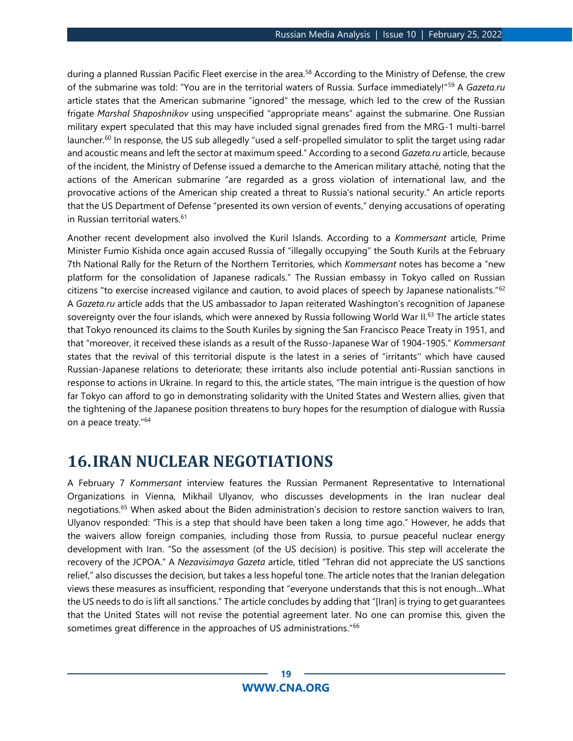during a planned Russian Pacific Fleet exercise in the area.<sup>58</sup> According to the Ministry of Defense, the crew of the submarine was told: "You are in the territorial waters of Russia. Surface immediately!"<sup>59</sup> A *Gazeta.ru* article states that the American submarine "ignored" the message, which led to the crew of the Russian frigate *Marshal Shaposhnikov* using unspecified "appropriate means" against the submarine. One Russian military expert speculated that this may have included signal grenades fired from the MRG-1 multi-barrel launcher.<sup>60</sup> In response, the US sub allegedly "used a self-propelled simulator to split the target using radar and acoustic means and left the sector at maximum speed." According to a second *Gazeta.ru* article, because of the incident, the Ministry of Defense issued a demarche to the American military attaché, noting that the actions of the American submarine "are regarded as a gross violation of international law, and the provocative actions of the American ship created a threat to Russia's national security." An article reports that the US Department of Defense "presented its own version of events," denying accusations of operating in Russian territorial waters.<sup>61</sup>

Another recent development also involved the Kuril Islands. According to a *Kommersant* article, Prime Minister Fumio Kishida once again accused Russia of "illegally occupying" the South Kurils at the February 7th National Rally for the Return of the Northern Territories, which *Kommersant* notes has become a "new platform for the consolidation of Japanese radicals." The Russian embassy in Tokyo called on Russian citizens "to exercise increased vigilance and caution, to avoid places of speech by Japanese nationalists."<sup>62</sup> A *Gazeta.ru* article adds that the US ambassador to Japan reiterated Washington's recognition of Japanese sovereignty over the four islands, which were annexed by Russia following World War II.<sup>63</sup> The article states that Tokyo renounced its claims to the South Kuriles by signing the San Francisco Peace Treaty in 1951, and that "moreover, it received these islands as a result of the Russo-Japanese War of 1904-1905." *Kommersant* states that the revival of this territorial dispute is the latest in a series of "irritants'' which have caused Russian-Japanese relations to deteriorate; these irritants also include potential anti-Russian sanctions in response to actions in Ukraine. In regard to this, the article states, "The main intrigue is the question of how far Tokyo can afford to go in demonstrating solidarity with the United States and Western allies, given that the tightening of the Japanese position threatens to bury hopes for the resumption of dialogue with Russia on a peace treaty."<sup>64</sup>

### <span id="page-18-0"></span>**16.IRAN NUCLEAR NEGOTIATIONS**

A February 7 *Kommersant* interview features the Russian Permanent Representative to International Organizations in Vienna, Mikhail Ulyanov, who discusses developments in the Iran nuclear deal negotiations.<sup>65</sup> When asked about the Biden administration's decision to restore sanction waivers to Iran, Ulyanov responded: "This is a step that should have been taken a long time ago." However, he adds that the waivers allow foreign companies, including those from Russia, to pursue peaceful nuclear energy development with Iran. "So the assessment (of the US decision) is positive. This step will accelerate the recovery of the JCPOA." A *Nezavisimaya Gazeta* article, titled "Tehran did not appreciate the US sanctions relief," also discusses the decision, but takes a less hopeful tone. The article notes that the Iranian delegation views these measures as insufficient, responding that "everyone understands that this is not enough…What the US needs to do is lift all sanctions." The article concludes by adding that "[Iran] is trying to get guarantees that the United States will not revise the potential agreement later. No one can promise this, given the sometimes great difference in the approaches of US administrations."<sup>66</sup>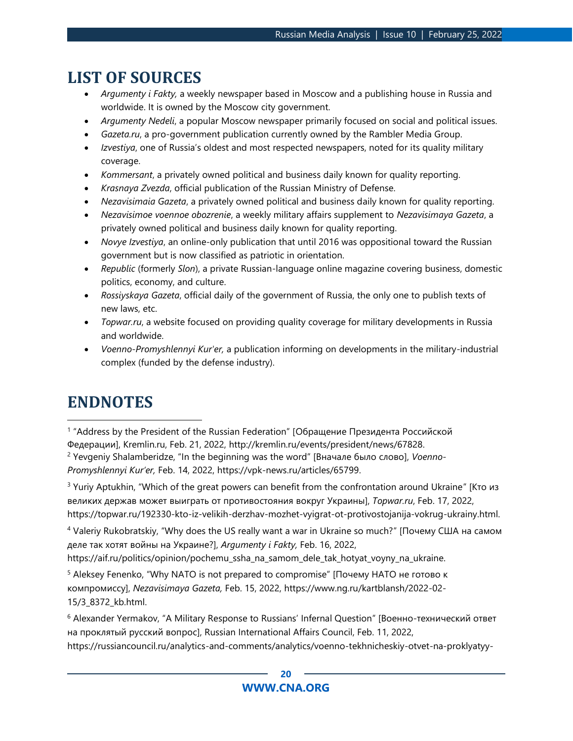### **LIST OF SOURCES**

- *Argumenty i Fakty,* a weekly newspaper based in Moscow and a publishing house in Russia and worldwide. It is owned by the Moscow city government.
- *Argumenty Nedeli*, a popular Moscow newspaper primarily focused on social and political issues.
- *Gazeta.ru*, a pro-government publication currently owned by the Rambler Media Group.
- *Izvestiya*, one of Russia's oldest and most respected newspapers, noted for its quality military coverage.
- *Kommersant*, a privately owned political and business daily known for quality reporting.
- *Krasnaya Zvezda*, official publication of the Russian Ministry of Defense.
- *Nezavisimaia Gazeta*, a privately owned political and business daily known for quality reporting.
- *Nezavisimoe voennoe obozrenie*, a weekly military affairs supplement to *Nezavisimaya Gazeta*, a privately owned political and business daily known for quality reporting.
- *Novye Izvestiya*, an online-only publication that until 2016 was oppositional toward the Russian government but is now classified as patriotic in orientation.
- *Republic* (formerly *Slon*), a private Russian-language online magazine covering business, domestic politics, economy, and culture.
- *Rossiyskaya Gazeta*, official daily of the government of Russia, the only one to publish texts of new laws, etc.
- *Topwar.ru*, a website focused on providing quality coverage for military developments in Russia and worldwide.
- *Voenno-Promyshlennyi Kur'er,* a publication informing on developments in the military-industrial complex (funded by the defense industry).

# **ENDNOTES**

<sup>1</sup> "Address by the President of the Russian Federation" [Обращение Президента Российской Федерации], Kremlin.ru, Feb. 21, 2022, http://kremlin.ru/events/president/news/67828. <sup>2</sup> Yevgeniy Shalamberidze, "In the beginning was the word" [Вначале было слово], *Voenno-*

*Promyshlennyi Kur'er,* Feb. 14, 2022, https://vpk-news.ru/articles/65799.

<sup>3</sup> Yuriy Aptukhin, "Which of the great powers can benefit from the confrontation around Ukraine" [Кто из великих держав может выиграть от противостояния вокруг Украины], *Topwar.ru*, Feb. 17, 2022, https://topwar.ru/192330-kto-iz-velikih-derzhav-mozhet-vyigrat-ot-protivostojanija-vokrug-ukrainy.html.

<sup>4</sup> Valeriy Rukobratskiy, "Why does the US really want a war in Ukraine so much?" [Почему США на самом деле так хотят войны на Украине?], *Argumenty i Fakty,* Feb. 16, 2022,

https://aif.ru/politics/opinion/pochemu\_ssha\_na\_samom\_dele\_tak\_hotyat\_voyny\_na\_ukraine.

<sup>5</sup> Aleksey Fenenko, "Why NATO is not prepared to compromise" [Почему НАТО не готово к компромиссу], *Nezavisimaya Gazeta,* Feb. 15, 2022, https://www.ng.ru/kartblansh/2022-02- 15/3\_8372\_kb.html.

<sup>6</sup> Alexander Yermakov, "A Military Response to Russians' Infernal Question" [Военно-технический ответ на проклятый русский вопрос], Russian International Affairs Council, Feb. 11, 2022, https://russiancouncil.ru/analytics-and-comments/analytics/voenno-tekhnicheskiy-otvet-na-proklyatyy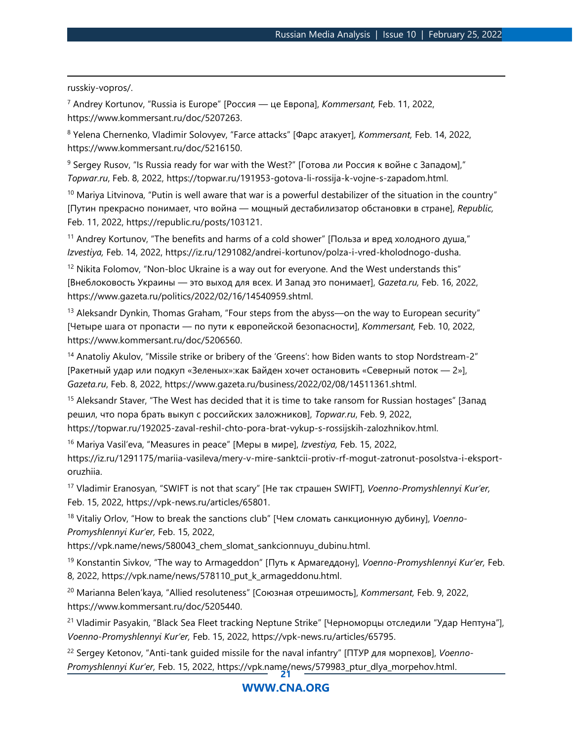russkiy-vopros/.

<sup>7</sup> Andrey Kortunov, "Russia is Europe" [Россия — це Европа], *Kommersant,* Feb. 11, 2022, https://www.kommersant.ru/doc/5207263.

<sup>8</sup> Yelena Chernenko, Vladimir Solovyev, "Farce attacks" [Фарс атакует], *Kommersant,* Feb. 14, 2022, https://www.kommersant.ru/doc/5216150.

<sup>9</sup> Sergey Rusov, "Is Russia ready for war with the West?" [Готова ли Россия к войне с Западом]," *Topwar.ru*, Feb. 8, 2022, https://topwar.ru/191953-gotova-li-rossija-k-vojne-s-zapadom.html.

 $10$  Mariya Litvinova, "Putin is well aware that war is a powerful destabilizer of the situation in the country" [Путин прекрасно понимает, что война — мощный дестабилизатор обстановки в стране], *Republic,*  Feb. 11, 2022, https://republic.ru/posts/103121.

<sup>11</sup> Andrey Kortunov, "The benefits and harms of a cold shower" [Польза и вред холодного душа," *Izvestiya,* Feb. 14, 2022, https://iz.ru/1291082/andrei-kortunov/polza-i-vred-kholodnogo-dusha.

 $12$  Nikita Folomov, "Non-bloc Ukraine is a way out for everyone. And the West understands this" [Внеблоковость Украины — это выход для всех. И Запад это понимает], *Gazeta.ru,* Feb. 16, 2022, https://www.gazeta.ru/politics/2022/02/16/14540959.shtml.

 $13$  Aleksandr Dynkin, Thomas Graham, "Four steps from the abyss—on the way to European security" [Четыре шага от пропасти — по пути к европейской безопасности], *Kommersant,* Feb. 10, 2022, https://www.kommersant.ru/doc/5206560.

<sup>14</sup> Anatoliy Akulov, "Missile strike or bribery of the 'Greens': how Biden wants to stop Nordstream-2" [Ракетный удар или подкуп «Зеленых»:как Байден хочет остановить «Северный поток — 2»], *Gazeta.ru*, Feb. 8, 2022, https://www.gazeta.ru/business/2022/02/08/14511361.shtml.

<sup>15</sup> Aleksandr Staver, "The West has decided that it is time to take ransom for Russian hostages" [Запад решил, что пора брать выкуп с российских заложников], *Topwar.ru*, Feb. 9, 2022,

https://topwar.ru/192025-zaval-reshil-chto-pora-brat-vykup-s-rossijskih-zalozhnikov.html.

<sup>16</sup> Mariya Vasil'eva, "Measures in peace" [Меры в мире], *Izvestiya,* Feb. 15, 2022, https://iz.ru/1291175/mariia-vasileva/mery-v-mire-sanktcii-protiv-rf-mogut-zatronut-posolstva-i-eksportoruzhiia.

<sup>17</sup> Vladimir Eranosyan, "SWIFT is not that scary" [Не так страшен SWIFT], *Voenno-Promyshlennyi Kur'er,* Feb. 15, 2022, https://vpk-news.ru/articles/65801.

<sup>18</sup> Vitaliy Orlov, "How to break the sanctions club" [Чем сломать санкционную дубину], *Voenno-Promyshlennyi Kur'er,* Feb. 15, 2022,

https://vpk.name/news/580043\_chem\_slomat\_sankcionnuyu\_dubinu.html.

<sup>19</sup> Konstantin Sivkov, "The way to Armageddon" [Путь к Армагеддону], *Voenno-Promyshlennyi Kur'er,* Feb. 8, 2022, https://vpk.name/news/578110\_put\_k\_armageddonu.html.

<sup>20</sup> Marianna Belen'kaya, "Allied resoluteness" [Союзная отрешимость], *Kommersant,* Feb. 9, 2022, https://www.kommersant.ru/doc/5205440.

<sup>21</sup> Vladimir Pasyakin, "Black Sea Fleet tracking Neptune Strike" [Черноморцы отследили "Удар Нептуна"], *Voenno-Promyshlennyi Kur'er,* Feb. 15, 2022, https://vpk-news.ru/articles/65795.

**21** <sup>22</sup> Sergey Ketonov, "Anti-tank guided missile for the naval infantry" [ПТУР для морпехов], *Voenno-Promyshlennyi Kur'er,* Feb. 15, 2022, https://vpk.name/news/579983\_ptur\_dlya\_morpehov.html.

### **[WWW.CNA.ORG](http://www.cna.org/)**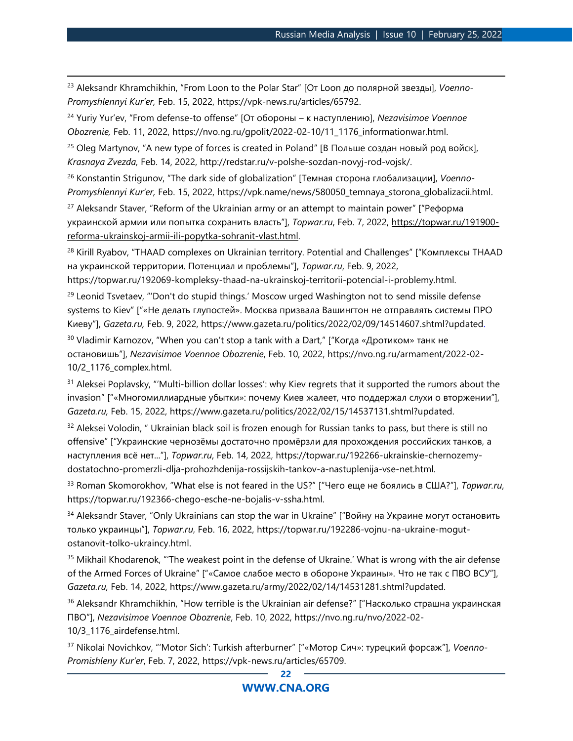<sup>23</sup> Aleksandr Khramchikhin, "From Loon to the Polar Star" [От Loon до полярной звезды], *Voenno-Promyshlennyi Kur'er,* Feb. 15, 2022, https://vpk-news.ru/articles/65792.

<sup>24</sup> Yuriy Yur'ev, "From defense-to offense" [От обороны – к наступлению], *Nezavisimoe Voennoe Obozrenie,* Feb. 11, 2022, https://nvo.ng.ru/gpolit/2022-02-10/11\_1176\_informationwar.html.

<sup>25</sup> Oleg Martynov, "A new type of forces is created in Poland" [В Польше создан новый род войск], *Krasnaya Zvezda,* Feb. 14, 2022, http://redstar.ru/v-polshe-sozdan-novyj-rod-vojsk/.

<sup>26</sup> Konstantin Strigunov, "The dark side of globalization" [Темная сторона глобализации], *Voenno-Promyshlennyi Kur'er,* Feb. 15, 2022, https://vpk.name/news/580050\_temnaya\_storona\_globalizacii.html.

<sup>27</sup> Aleksandr Staver, "Reform of the Ukrainian army or an attempt to maintain power" ["Реформа украинской армии или попытка сохранить власть"], *Topwar.ru*, Feb. 7, 2022, [https://topwar.ru/191900](https://topwar.ru/191900-reforma-ukrainskoj-armii-ili-popytka-sohranit-vlast.html) [reforma-ukrainskoj-armii-ili-popytka-sohranit-vlast.html.](https://topwar.ru/191900-reforma-ukrainskoj-armii-ili-popytka-sohranit-vlast.html)

<sup>28</sup> Kirill Ryabov, "THAAD complexes on Ukrainian territory. Potential and Challenges" ["Комплексы ТНААD на украинской территории. Потенциал и проблемы"], *Topwar.ru*, Feb. 9, 2022,

https://topwar.ru/192069-kompleksy-thaad-na-ukrainskoj-territorii-potencial-i-problemy.html.

<sup>29</sup> Leonid Tsvetaev, "'Don't do stupid things.' Moscow urged Washington not to send missile defense systems to Kiev" ["«Не делать глупостей». Москва призвала Вашингтон не отправлять системы ПРО Киеву"], *Gazeta.ru,* Feb. 9, 2022, https://www.gazeta.ru/politics/2022/02/09/14514607.shtml?updated.

<sup>30</sup> Vladimir Karnozov, "When you can't stop a tank with a Dart," ["Когда «Дротиком» танк не остановишь"], *Nezavisimoe Voennoe Obozrenie*, Feb. 10, 2022, https://nvo.ng.ru/armament/2022-02- 10/2\_1176\_complex.html.

<sup>31</sup> Aleksei Poplavsky, "'Multi-billion dollar losses': why Kiev regrets that it supported the rumors about the invasion" ["«Многомиллиардные убытки»: почему Киев жалеет, что поддержал слухи о вторжении"], *Gazeta.ru,* Feb. 15, 2022, https://www.gazeta.ru/politics/2022/02/15/14537131.shtml?updated.

<sup>32</sup> Aleksei Volodin, " Ukrainian black soil is frozen enough for Russian tanks to pass, but there is still no offensive" ["Украинские чернозёмы достаточно промёрзли для прохождения российских танков, а наступления всё нет..."], *Topwar.ru*, Feb. 14, 2022, https://topwar.ru/192266-ukrainskie-chernozemydostatochno-promerzli-dlja-prohozhdenija-rossijskih-tankov-a-nastuplenija-vse-net.html.

<sup>33</sup> Roman Skomorokhov, "What else is not feared in the US?" ["Чего еще не боялись в США?"], *Topwar.ru*, https://topwar.ru/192366-chego-esche-ne-bojalis-v-ssha.html.

<sup>34</sup> Aleksandr Staver, "Only Ukrainians can stop the war in Ukraine" ["Войну на Украине могут остановить только украинцы"], *Topwar.ru*, Feb. 16, 2022, https://topwar.ru/192286-vojnu-na-ukraine-mogutostanovit-tolko-ukraincy.html.

<sup>35</sup> Mikhail Khodarenok, "The weakest point in the defense of Ukraine.' What is wrong with the air defense of the Armed Forces of Ukraine" ["«Самое слабое место в обороне Украины». Что не так с ПВО ВСУ"], *Gazeta.ru,* Feb. 14, 2022, https://www.gazeta.ru/army/2022/02/14/14531281.shtml?updated.

<sup>36</sup> Aleksandr Khramchikhin, "How terrible is the Ukrainian air defense?" ["Насколько страшна украинская ПВО"], *Nezavisimoe Voennoe Obozrenie*, Feb. 10, 2022, https://nvo.ng.ru/nvo/2022-02- 10/3\_1176\_airdefense.html.

<sup>37</sup> Nikolai Novichkov, "'Motor Sich': Turkish afterburner" ["«Мотор Сич»: турецкий форсаж"], *Voenno-Promishleny Kur'er*, Feb. 7, 2022, https://vpk-news.ru/articles/65709.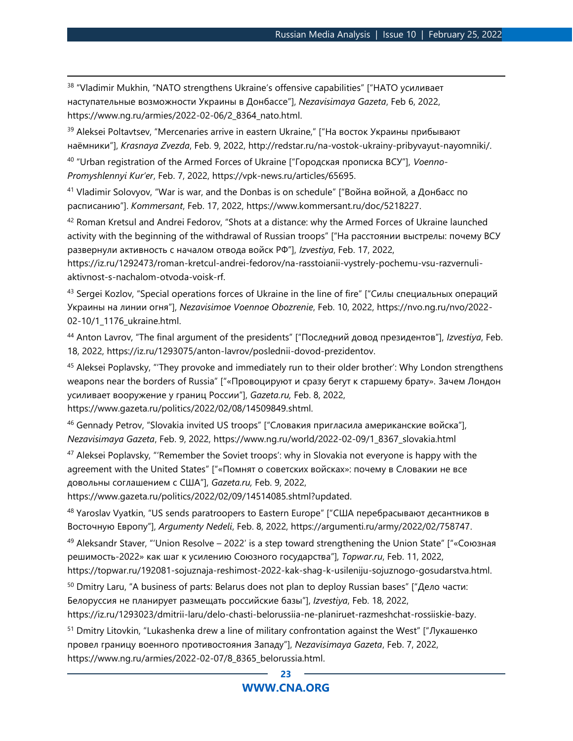<sup>38</sup> "Vladimir Mukhin, "NATO strengthens Ukraine's offensive capabilities" ["НАТО усиливает наступательные возможности Украины в Донбассе"], *Nezavisimaya Gazeta*, Feb 6, 2022, https://www.ng.ru/armies/2022-02-06/2\_8364\_nato.html.

<sup>39</sup> Aleksei Poltavtsev, "Mercenaries arrive in eastern Ukraine," ["На восток Украины прибывают наёмники"], *Krasnaya Zvezda*, Feb. 9, 2022, http://redstar.ru/na-vostok-ukrainy-pribyvayut-nayomniki/.

<sup>40</sup> "Urban registration of the Armed Forces of Ukraine ["Городская прописка ВСУ"], *Voenno-Promyshlennyi Kur'er*, Feb. 7, 2022, https://vpk-news.ru/articles/65695.

<sup>41</sup> Vladimir Solovyov, "War is war, and the Donbas is on schedule" ["Война войной, а Донбасс по расписанию"]. *Kommersant*, Feb. 17, 2022, https://www.kommersant.ru/doc/5218227.

<sup>42</sup> Roman Kretsul and Andrei Fedorov, "Shots at a distance: why the Armed Forces of Ukraine launched activity with the beginning of the withdrawal of Russian troops" ["На расстоянии выстрелы: почему ВСУ развернули активность с началом отвода войск РФ"], *Izvestiya*, Feb. 17, 2022,

https://iz.ru/1292473/roman-kretcul-andrei-fedorov/na-rasstoianii-vystrely-pochemu-vsu-razvernuliaktivnost-s-nachalom-otvoda-voisk-rf.

<sup>43</sup> Sergei Kozlov, "Special operations forces of Ukraine in the line of fire" ["Силы специальных операций Украины на линии огня"], *Nezavisimoe Voennoe Obozrenie*, Feb. 10, 2022, https://nvo.ng.ru/nvo/2022- 02-10/1 1176 ukraine.html.

<sup>44</sup> Anton Lavrov, "The final argument of the presidents" ["Последний довод президентов"], *Izvestiya*, Feb. 18, 2022, https://iz.ru/1293075/anton-lavrov/poslednii-dovod-prezidentov.

<sup>45</sup> Aleksei Poplavsky, "'They provoke and immediately run to their older brother': Why London strengthens weapons near the borders of Russia" ["«Провоцируют и сразу бегут к старшему брату». Зачем Лондон усиливает вооружение у границ России"], *Gazeta.ru,* Feb. 8, 2022, https://www.gazeta.ru/politics/2022/02/08/14509849.shtml.

<sup>46</sup> Gennady Petrov, "Slovakia invited US troops" ["Словакия пригласила американские войска"], *Nezavisimaya Gazeta*, Feb. 9, 2022, https://www.ng.ru/world/2022-02-09/1\_8367\_slovakia.html

 $47$  Aleksei Poplavsky, "'Remember the Soviet troops': why in Slovakia not everyone is happy with the agreement with the United States" ["«Помнят о советских войсках»: почему в Словакии не все довольны соглашением с США"], *Gazeta.ru,* Feb. 9, 2022,

https://www.gazeta.ru/politics/2022/02/09/14514085.shtml?updated.

<sup>48</sup> Yaroslav Vyatkin, "US sends paratroopers to Eastern Europe" ["США перебрасывают десантников в Восточную Европу"], *Argumenty Nedeli*, Feb. 8, 2022, https://argumenti.ru/army/2022/02/758747.

<sup>49</sup> Aleksandr Staver, "'Union Resolve – 2022' is a step toward strengthening the Union State" ["«Союзная решимость-2022» как шаг к усилению Союзного государства"], *Topwar.ru*, Feb. 11, 2022,

https://topwar.ru/192081-sojuznaja-reshimost-2022-kak-shag-k-usileniju-sojuznogo-gosudarstva.html.

<sup>50</sup> Dmitry Laru, "A business of parts: Belarus does not plan to deploy Russian bases" ["Дело части: Белоруссия не планирует размещать российские базы"], *Izvestiya*, Feb. 18, 2022,

https://iz.ru/1293023/dmitrii-laru/delo-chasti-belorussiia-ne-planiruet-razmeshchat-rossiiskie-bazy.

<sup>51</sup> Dmitry Litovkin, "Lukashenka drew a line of military confrontation against the West" ["Лукашенко провел границу военного противостояния Западу"], *Nezavisimaya Gazeta*, Feb. 7, 2022, https://www.ng.ru/armies/2022-02-07/8\_8365\_belorussia.html.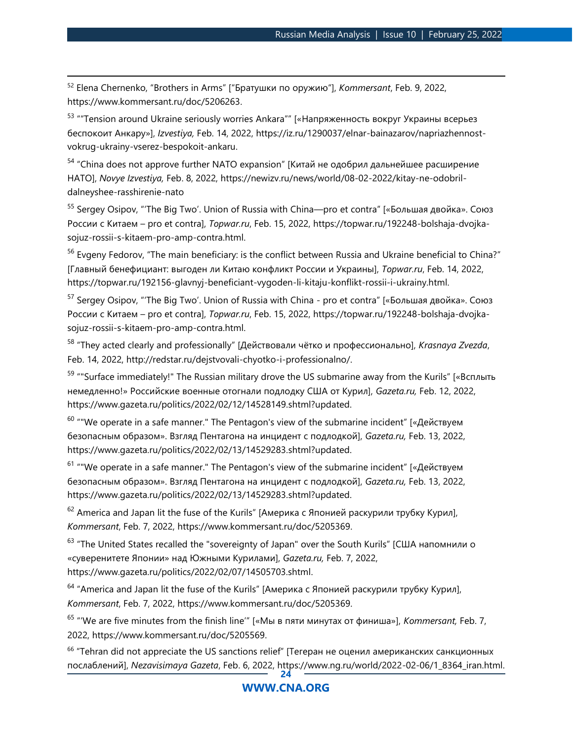<sup>52</sup> Elena Chernenko, "Brothers in Arms" ["Братушки по оружию"], *Kommersant*, Feb. 9, 2022, https://www.kommersant.ru/doc/5206263.

<sup>53</sup> ""Tension around Ukraine seriously worries Ankara"" [«Напряженность вокруг Украины всерьез беспокоит Анкару»], *Izvestiya,* Feb. 14, 2022, https://iz.ru/1290037/elnar-bainazarov/napriazhennostvokrug-ukrainy-vserez-bespokoit-ankaru.

<sup>54</sup> "China does not approve further NATO expansion" [Китай не одобрил дальнейшее расширение НАТО], *Novye Izvestiya,* Feb. 8, 2022, https://newizv.ru/news/world/08-02-2022/kitay-ne-odobrildalneyshee-rasshirenie-nato

<sup>55</sup> Sergey Osipov, "'The Big Two'. Union of Russia with China—pro et contra" [«Большая двойка». Союз России с Китаем – pro et contra], *Topwar.ru*, Feb. 15, 2022, https://topwar.ru/192248-bolshaja-dvojkasojuz-rossii-s-kitaem-pro-amp-contra.html.

<sup>56</sup> Evgeny Fedorov, "The main beneficiary: is the conflict between Russia and Ukraine beneficial to China?" [Главный бенефициант: выгоден ли Китаю конфликт России и Украины], *Topwar.ru*, Feb. 14, 2022, https://topwar.ru/192156-glavnyj-beneficiant-vygoden-li-kitaju-konflikt-rossii-i-ukrainy.html.

<sup>57</sup> Seraev Osipov, "'The Big Two'. Union of Russia with China - pro et contra" [«Большая двойка». Союз России с Китаем – pro et contra], *Topwar.ru*, Feb. 15, 2022, https://topwar.ru/192248-bolshaja-dvojkasojuz-rossii-s-kitaem-pro-amp-contra.html.

<sup>58</sup> "They acted clearly and professionally" [Действовали чётко и профессионально], *Krasnaya Zvezda*, Feb. 14, 2022, http://redstar.ru/dejstvovali-chyotko-i-professionalno/.

<sup>59</sup> ""Surface immediately!" The Russian military drove the US submarine away from the Kurils" [«Всплыть немедленно!» Российские военные отогнали подлодку США от Курил], *Gazeta.ru,* Feb. 12, 2022, https://www.gazeta.ru/politics/2022/02/12/14528149.shtml?updated.

 $60$  ""We operate in a safe manner." The Pentagon's view of the submarine incident" [«Действуем безопасным образом». Взгляд Пентагона на инцидент с подлодкой], *Gazeta.ru,* Feb. 13, 2022, https://www.gazeta.ru/politics/2022/02/13/14529283.shtml?updated.

 $61$  ""We operate in a safe manner." The Pentagon's view of the submarine incident" [«Действуем безопасным образом». Взгляд Пентагона на инцидент с подлодкой], *Gazeta.ru,* Feb. 13, 2022, https://www.gazeta.ru/politics/2022/02/13/14529283.shtml?updated.

 $62$  America and Japan lit the fuse of the Kurils" [Америка с Японией раскурили трубку Курил], *Kommersant*, Feb. 7, 2022, https://www.kommersant.ru/doc/5205369.

<sup>63</sup> "The United States recalled the "sovereignty of Japan" over the South Kurils" [США напомнили о «суверенитете Японии» над Южными Курилами], *Gazeta.ru,* Feb. 7, 2022, https://www.gazeta.ru/politics/2022/02/07/14505703.shtml.

 $64$  "America and Japan lit the fuse of the Kurils" [Америка с Японией раскурили трубку Курил], *Kommersant*, Feb. 7, 2022, https://www.kommersant.ru/doc/5205369.

<sup>65</sup> "'We are five minutes from the finish line'" [«Мы в пяти минутах от финиша»], *Kommersant,* Feb. 7, 2022, https://www.kommersant.ru/doc/5205569.

**24** <sup>66</sup> "Tehran did not appreciate the US sanctions relief" [Тегеран не оценил американских санкционных послаблений], *Nezavisimaya Gazeta*, Feb. 6, 2022, https://www.ng.ru/world/2022-02-06/1\_8364\_iran.html.